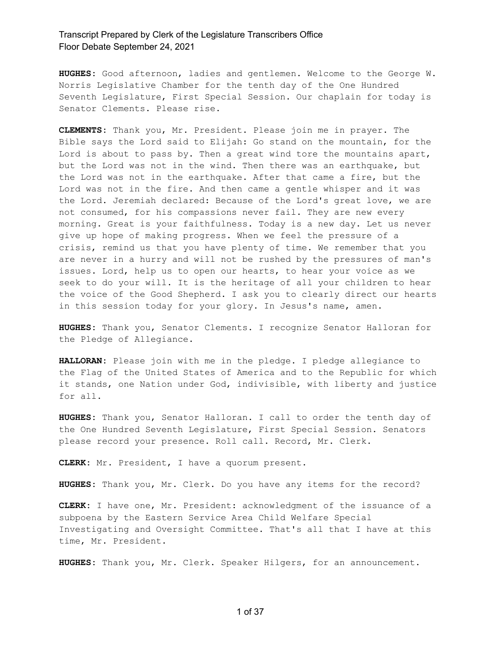**HUGHES:** Good afternoon, ladies and gentlemen. Welcome to the George W. Norris Legislative Chamber for the tenth day of the One Hundred Seventh Legislature, First Special Session. Our chaplain for today is Senator Clements. Please rise.

**CLEMENTS:** Thank you, Mr. President. Please join me in prayer. The Bible says the Lord said to Elijah: Go stand on the mountain, for the Lord is about to pass by. Then a great wind tore the mountains apart, but the Lord was not in the wind. Then there was an earthquake, but the Lord was not in the earthquake. After that came a fire, but the Lord was not in the fire. And then came a gentle whisper and it was the Lord. Jeremiah declared: Because of the Lord's great love, we are not consumed, for his compassions never fail. They are new every morning. Great is your faithfulness. Today is a new day. Let us never give up hope of making progress. When we feel the pressure of a crisis, remind us that you have plenty of time. We remember that you are never in a hurry and will not be rushed by the pressures of man's issues. Lord, help us to open our hearts, to hear your voice as we seek to do your will. It is the heritage of all your children to hear the voice of the Good Shepherd. I ask you to clearly direct our hearts in this session today for your glory. In Jesus's name, amen.

**HUGHES:** Thank you, Senator Clements. I recognize Senator Halloran for the Pledge of Allegiance.

**HALLORAN:** Please join with me in the pledge. I pledge allegiance to the Flag of the United States of America and to the Republic for which it stands, one Nation under God, indivisible, with liberty and justice for all.

**HUGHES:** Thank you, Senator Halloran. I call to order the tenth day of the One Hundred Seventh Legislature, First Special Session. Senators please record your presence. Roll call. Record, Mr. Clerk.

**CLERK:** Mr. President, I have a quorum present.

**HUGHES:** Thank you, Mr. Clerk. Do you have any items for the record?

**CLERK:** I have one, Mr. President: acknowledgment of the issuance of a subpoena by the Eastern Service Area Child Welfare Special Investigating and Oversight Committee. That's all that I have at this time, Mr. President.

**HUGHES:** Thank you, Mr. Clerk. Speaker Hilgers, for an announcement.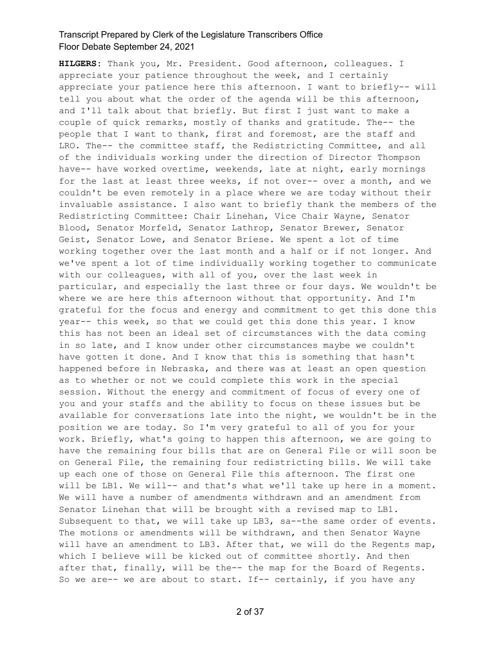**HILGERS:** Thank you, Mr. President. Good afternoon, colleagues. I appreciate your patience throughout the week, and I certainly appreciate your patience here this afternoon. I want to briefly-- will tell you about what the order of the agenda will be this afternoon, and I'll talk about that briefly. But first I just want to make a couple of quick remarks, mostly of thanks and gratitude. The-- the people that I want to thank, first and foremost, are the staff and LRO. The-- the committee staff, the Redistricting Committee, and all of the individuals working under the direction of Director Thompson have-- have worked overtime, weekends, late at night, early mornings for the last at least three weeks, if not over-- over a month, and we couldn't be even remotely in a place where we are today without their invaluable assistance. I also want to briefly thank the members of the Redistricting Committee: Chair Linehan, Vice Chair Wayne, Senator Blood, Senator Morfeld, Senator Lathrop, Senator Brewer, Senator Geist, Senator Lowe, and Senator Briese. We spent a lot of time working together over the last month and a half or if not longer. And we've spent a lot of time individually working together to communicate with our colleagues, with all of you, over the last week in particular, and especially the last three or four days. We wouldn't be where we are here this afternoon without that opportunity. And I'm grateful for the focus and energy and commitment to get this done this year-- this week, so that we could get this done this year. I know this has not been an ideal set of circumstances with the data coming in so late, and I know under other circumstances maybe we couldn't have gotten it done. And I know that this is something that hasn't happened before in Nebraska, and there was at least an open question as to whether or not we could complete this work in the special session. Without the energy and commitment of focus of every one of you and your staffs and the ability to focus on these issues but be available for conversations late into the night, we wouldn't be in the position we are today. So I'm very grateful to all of you for your work. Briefly, what's going to happen this afternoon, we are going to have the remaining four bills that are on General File or will soon be on General File, the remaining four redistricting bills. We will take up each one of those on General File this afternoon. The first one will be LB1. We will-- and that's what we'll take up here in a moment. We will have a number of amendments withdrawn and an amendment from Senator Linehan that will be brought with a revised map to LB1. Subsequent to that, we will take up LB3, sa--the same order of events. The motions or amendments will be withdrawn, and then Senator Wayne will have an amendment to LB3. After that, we will do the Regents map, which I believe will be kicked out of committee shortly. And then after that, finally, will be the-- the map for the Board of Regents. So we are-- we are about to start. If-- certainly, if you have any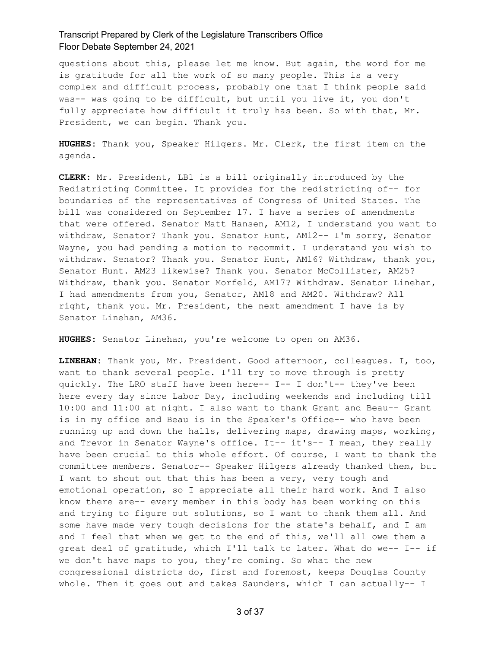questions about this, please let me know. But again, the word for me is gratitude for all the work of so many people. This is a very complex and difficult process, probably one that I think people said was-- was going to be difficult, but until you live it, you don't fully appreciate how difficult it truly has been. So with that, Mr. President, we can begin. Thank you.

**HUGHES:** Thank you, Speaker Hilgers. Mr. Clerk, the first item on the agenda.

**CLERK:** Mr. President, LB1 is a bill originally introduced by the Redistricting Committee. It provides for the redistricting of-- for boundaries of the representatives of Congress of United States. The bill was considered on September 17. I have a series of amendments that were offered. Senator Matt Hansen, AM12, I understand you want to withdraw, Senator? Thank you. Senator Hunt, AM12-- I'm sorry, Senator Wayne, you had pending a motion to recommit. I understand you wish to withdraw. Senator? Thank you. Senator Hunt, AM16? Withdraw, thank you, Senator Hunt. AM23 likewise? Thank you. Senator McCollister, AM25? Withdraw, thank you. Senator Morfeld, AM17? Withdraw. Senator Linehan, I had amendments from you, Senator, AM18 and AM20. Withdraw? All right, thank you. Mr. President, the next amendment I have is by Senator Linehan, AM36.

**HUGHES:** Senator Linehan, you're welcome to open on AM36.

**LINEHAN:** Thank you, Mr. President. Good afternoon, colleagues. I, too, want to thank several people. I'll try to move through is pretty quickly. The LRO staff have been here-- I-- I don't-- they've been here every day since Labor Day, including weekends and including till 10:00 and 11:00 at night. I also want to thank Grant and Beau-- Grant is in my office and Beau is in the Speaker's Office-- who have been running up and down the halls, delivering maps, drawing maps, working, and Trevor in Senator Wayne's office. It-- it's-- I mean, they really have been crucial to this whole effort. Of course, I want to thank the committee members. Senator-- Speaker Hilgers already thanked them, but I want to shout out that this has been a very, very tough and emotional operation, so I appreciate all their hard work. And I also know there are-- every member in this body has been working on this and trying to figure out solutions, so I want to thank them all. And some have made very tough decisions for the state's behalf, and I am and I feel that when we get to the end of this, we'll all owe them a great deal of gratitude, which I'll talk to later. What do we-- I-- if we don't have maps to you, they're coming. So what the new congressional districts do, first and foremost, keeps Douglas County whole. Then it goes out and takes Saunders, which I can actually-- I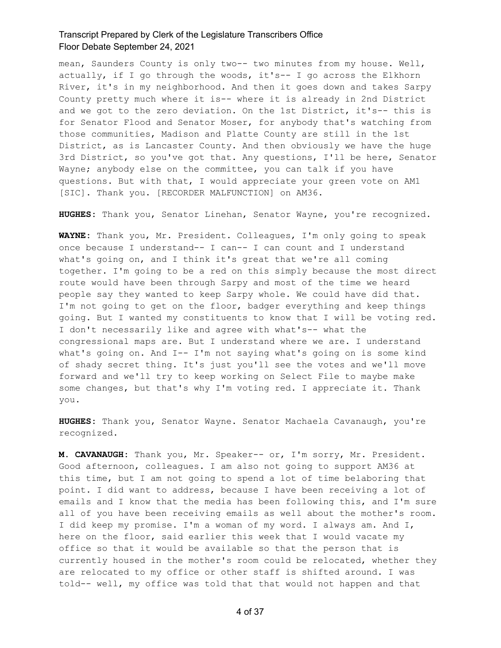mean, Saunders County is only two-- two minutes from my house. Well, actually, if I go through the woods, it's-- I go across the Elkhorn River, it's in my neighborhood. And then it goes down and takes Sarpy County pretty much where it is-- where it is already in 2nd District and we got to the zero deviation. On the 1st District, it's-- this is for Senator Flood and Senator Moser, for anybody that's watching from those communities, Madison and Platte County are still in the 1st District, as is Lancaster County. And then obviously we have the huge 3rd District, so you've got that. Any questions, I'll be here, Senator Wayne; anybody else on the committee, you can talk if you have questions. But with that, I would appreciate your green vote on AM1 [SIC]. Thank you. [RECORDER MALFUNCTION] on AM36.

**HUGHES:** Thank you, Senator Linehan, Senator Wayne, you're recognized.

**WAYNE:** Thank you, Mr. President. Colleagues, I'm only going to speak once because I understand-- I can-- I can count and I understand what's going on, and I think it's great that we're all coming together. I'm going to be a red on this simply because the most direct route would have been through Sarpy and most of the time we heard people say they wanted to keep Sarpy whole. We could have did that. I'm not going to get on the floor, badger everything and keep things going. But I wanted my constituents to know that I will be voting red. I don't necessarily like and agree with what's-- what the congressional maps are. But I understand where we are. I understand what's going on. And I-- I'm not saying what's going on is some kind of shady secret thing. It's just you'll see the votes and we'll move forward and we'll try to keep working on Select File to maybe make some changes, but that's why I'm voting red. I appreciate it. Thank you.

**HUGHES:** Thank you, Senator Wayne. Senator Machaela Cavanaugh, you're recognized.

**M. CAVANAUGH:** Thank you, Mr. Speaker-- or, I'm sorry, Mr. President. Good afternoon, colleagues. I am also not going to support AM36 at this time, but I am not going to spend a lot of time belaboring that point. I did want to address, because I have been receiving a lot of emails and I know that the media has been following this, and I'm sure all of you have been receiving emails as well about the mother's room. I did keep my promise. I'm a woman of my word. I always am. And I, here on the floor, said earlier this week that I would vacate my office so that it would be available so that the person that is currently housed in the mother's room could be relocated, whether they are relocated to my office or other staff is shifted around. I was told-- well, my office was told that that would not happen and that

4 of 37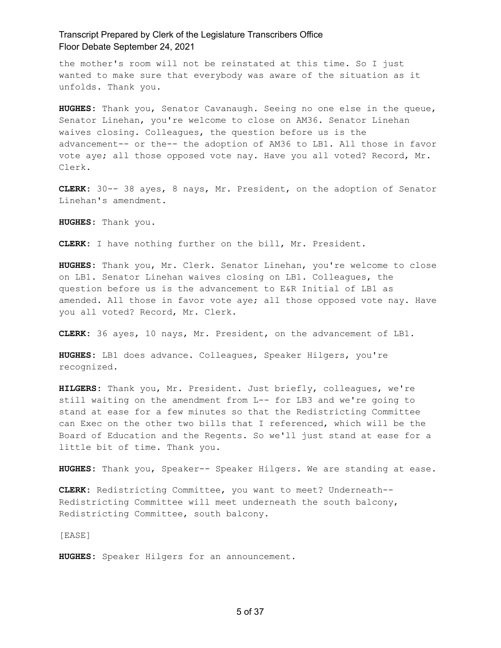the mother's room will not be reinstated at this time. So I just wanted to make sure that everybody was aware of the situation as it unfolds. Thank you.

**HUGHES:** Thank you, Senator Cavanaugh. Seeing no one else in the queue, Senator Linehan, you're welcome to close on AM36. Senator Linehan waives closing. Colleagues, the question before us is the advancement-- or the-- the adoption of AM36 to LB1. All those in favor vote aye; all those opposed vote nay. Have you all voted? Record, Mr. Clerk.

**CLERK:** 30-- 38 ayes, 8 nays, Mr. President, on the adoption of Senator Linehan's amendment.

**HUGHES:** Thank you.

**CLERK:** I have nothing further on the bill, Mr. President.

**HUGHES:** Thank you, Mr. Clerk. Senator Linehan, you're welcome to close on LB1. Senator Linehan waives closing on LB1. Colleagues, the question before us is the advancement to E&R Initial of LB1 as amended. All those in favor vote aye; all those opposed vote nay. Have you all voted? Record, Mr. Clerk.

**CLERK:** 36 ayes, 10 nays, Mr. President, on the advancement of LB1.

**HUGHES:** LB1 does advance. Colleagues, Speaker Hilgers, you're recognized.

**HILGERS:** Thank you, Mr. President. Just briefly, colleagues, we're still waiting on the amendment from L-- for LB3 and we're going to stand at ease for a few minutes so that the Redistricting Committee can Exec on the other two bills that I referenced, which will be the Board of Education and the Regents. So we'll just stand at ease for a little bit of time. Thank you.

**HUGHES:** Thank you, Speaker-- Speaker Hilgers. We are standing at ease.

**CLERK:** Redistricting Committee, you want to meet? Underneath-- Redistricting Committee will meet underneath the south balcony, Redistricting Committee, south balcony.

[EASE]

**HUGHES:** Speaker Hilgers for an announcement.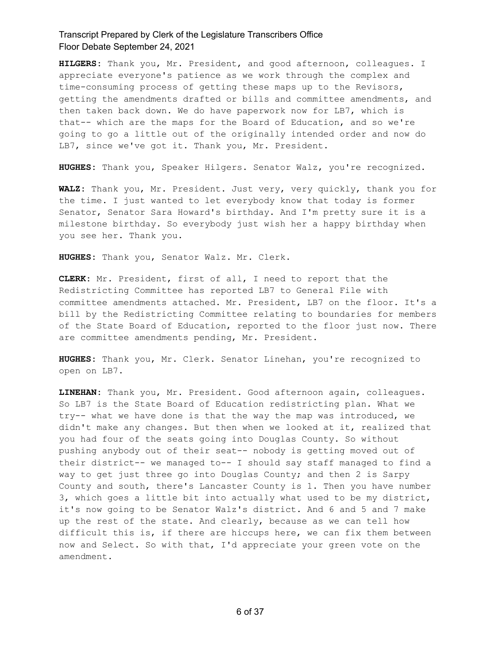**HILGERS:** Thank you, Mr. President, and good afternoon, colleagues. I appreciate everyone's patience as we work through the complex and time-consuming process of getting these maps up to the Revisors, getting the amendments drafted or bills and committee amendments, and then taken back down. We do have paperwork now for LB7, which is that-- which are the maps for the Board of Education, and so we're going to go a little out of the originally intended order and now do LB7, since we've got it. Thank you, Mr. President.

**HUGHES:** Thank you, Speaker Hilgers. Senator Walz, you're recognized.

**WALZ:** Thank you, Mr. President. Just very, very quickly, thank you for the time. I just wanted to let everybody know that today is former Senator, Senator Sara Howard's birthday. And I'm pretty sure it is a milestone birthday. So everybody just wish her a happy birthday when you see her. Thank you.

**HUGHES:** Thank you, Senator Walz. Mr. Clerk.

**CLERK:** Mr. President, first of all, I need to report that the Redistricting Committee has reported LB7 to General File with committee amendments attached. Mr. President, LB7 on the floor. It's a bill by the Redistricting Committee relating to boundaries for members of the State Board of Education, reported to the floor just now. There are committee amendments pending, Mr. President.

**HUGHES:** Thank you, Mr. Clerk. Senator Linehan, you're recognized to open on LB7.

**LINEHAN:** Thank you, Mr. President. Good afternoon again, colleagues. So LB7 is the State Board of Education redistricting plan. What we try-- what we have done is that the way the map was introduced, we didn't make any changes. But then when we looked at it, realized that you had four of the seats going into Douglas County. So without pushing anybody out of their seat-- nobody is getting moved out of their district-- we managed to-- I should say staff managed to find a way to get just three go into Douglas County; and then 2 is Sarpy County and south, there's Lancaster County is 1. Then you have number 3, which goes a little bit into actually what used to be my district, it's now going to be Senator Walz's district. And 6 and 5 and 7 make up the rest of the state. And clearly, because as we can tell how difficult this is, if there are hiccups here, we can fix them between now and Select. So with that, I'd appreciate your green vote on the amendment.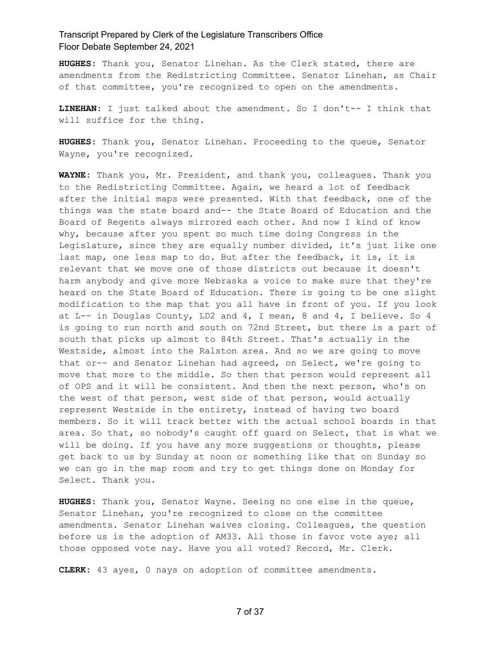**HUGHES:** Thank you, Senator Linehan. As the Clerk stated, there are amendments from the Redistricting Committee. Senator Linehan, as Chair of that committee, you're recognized to open on the amendments.

**LINEHAN:** I just talked about the amendment. So I don't-- I think that will suffice for the thing.

**HUGHES:** Thank you, Senator Linehan. Proceeding to the queue, Senator Wayne, you're recognized.

**WAYNE:** Thank you, Mr. President, and thank you, colleagues. Thank you to the Redistricting Committee. Again, we heard a lot of feedback after the initial maps were presented. With that feedback, one of the things was the state board and-- the State Board of Education and the Board of Regents always mirrored each other. And now I kind of know why, because after you spent so much time doing Congress in the Legislature, since they are equally number divided, it's just like one last map, one less map to do. But after the feedback, it is, it is relevant that we move one of those districts out because it doesn't harm anybody and give more Nebraska a voice to make sure that they're heard on the State Board of Education. There is going to be one slight modification to the map that you all have in front of you. If you look at L-- in Douglas County, LD2 and 4, I mean, 8 and 4, I believe. So 4 is going to run north and south on 72nd Street, but there is a part of south that picks up almost to 84th Street. That's actually in the Westside, almost into the Ralston area. And so we are going to move that or-- and Senator Linehan had agreed, on Select, we're going to move that more to the middle. So then that person would represent all of OPS and it will be consistent. And then the next person, who's on the west of that person, west side of that person, would actually represent Westside in the entirety, instead of having two board members. So it will track better with the actual school boards in that area. So that, so nobody's caught off guard on Select, that is what we will be doing. If you have any more suggestions or thoughts, please get back to us by Sunday at noon or something like that on Sunday so we can go in the map room and try to get things done on Monday for Select. Thank you.

**HUGHES:** Thank you, Senator Wayne. Seeing no one else in the queue, Senator Linehan, you're recognized to close on the committee amendments. Senator Linehan waives closing. Colleagues, the question before us is the adoption of AM33. All those in favor vote aye; all those opposed vote nay. Have you all voted? Record, Mr. Clerk.

**CLERK:** 43 ayes, 0 nays on adoption of committee amendments.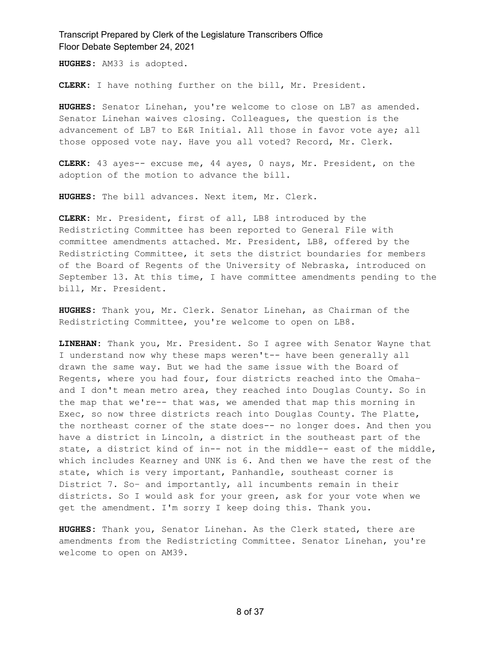**HUGHES:** AM33 is adopted.

**CLERK:** I have nothing further on the bill, Mr. President.

**HUGHES:** Senator Linehan, you're welcome to close on LB7 as amended. Senator Linehan waives closing. Colleagues, the question is the advancement of LB7 to E&R Initial. All those in favor vote aye; all those opposed vote nay. Have you all voted? Record, Mr. Clerk.

**CLERK:** 43 ayes-- excuse me, 44 ayes, 0 nays, Mr. President, on the adoption of the motion to advance the bill.

**HUGHES:** The bill advances. Next item, Mr. Clerk.

**CLERK:** Mr. President, first of all, LB8 introduced by the Redistricting Committee has been reported to General File with committee amendments attached. Mr. President, LB8, offered by the Redistricting Committee, it sets the district boundaries for members of the Board of Regents of the University of Nebraska, introduced on September 13. At this time, I have committee amendments pending to the bill, Mr. President.

**HUGHES:** Thank you, Mr. Clerk. Senator Linehan, as Chairman of the Redistricting Committee, you're welcome to open on LB8.

**LINEHAN:** Thank you, Mr. President. So I agree with Senator Wayne that I understand now why these maps weren't-- have been generally all drawn the same way. But we had the same issue with the Board of Regents, where you had four, four districts reached into the Omaha– and I don't mean metro area, they reached into Douglas County. So in the map that we're-- that was, we amended that map this morning in Exec, so now three districts reach into Douglas County. The Platte, the northeast corner of the state does-- no longer does. And then you have a district in Lincoln, a district in the southeast part of the state, a district kind of in-- not in the middle-- east of the middle, which includes Kearney and UNK is 6. And then we have the rest of the state, which is very important, Panhandle, southeast corner is District 7. So– and importantly, all incumbents remain in their districts. So I would ask for your green, ask for your vote when we get the amendment. I'm sorry I keep doing this. Thank you.

**HUGHES:** Thank you, Senator Linehan. As the Clerk stated, there are amendments from the Redistricting Committee. Senator Linehan, you're welcome to open on AM39.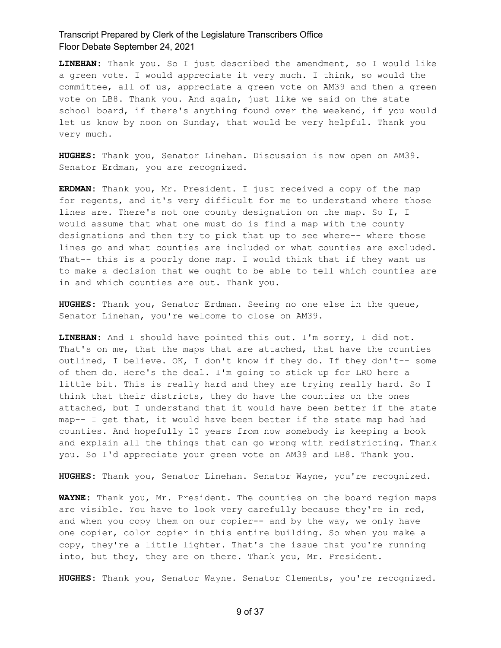**LINEHAN:** Thank you. So I just described the amendment, so I would like a green vote. I would appreciate it very much. I think, so would the committee, all of us, appreciate a green vote on AM39 and then a green vote on LB8. Thank you. And again, just like we said on the state school board, if there's anything found over the weekend, if you would let us know by noon on Sunday, that would be very helpful. Thank you very much.

**HUGHES:** Thank you, Senator Linehan. Discussion is now open on AM39. Senator Erdman, you are recognized.

**ERDMAN:** Thank you, Mr. President. I just received a copy of the map for regents, and it's very difficult for me to understand where those lines are. There's not one county designation on the map. So I, I would assume that what one must do is find a map with the county designations and then try to pick that up to see where-- where those lines go and what counties are included or what counties are excluded. That-- this is a poorly done map. I would think that if they want us to make a decision that we ought to be able to tell which counties are in and which counties are out. Thank you.

**HUGHES:** Thank you, Senator Erdman. Seeing no one else in the queue, Senator Linehan, you're welcome to close on AM39.

**LINEHAN:** And I should have pointed this out. I'm sorry, I did not. That's on me, that the maps that are attached, that have the counties outlined, I believe. OK, I don't know if they do. If they don't-- some of them do. Here's the deal. I'm going to stick up for LRO here a little bit. This is really hard and they are trying really hard. So I think that their districts, they do have the counties on the ones attached, but I understand that it would have been better if the state map-- I get that, it would have been better if the state map had had counties. And hopefully 10 years from now somebody is keeping a book and explain all the things that can go wrong with redistricting. Thank you. So I'd appreciate your green vote on AM39 and LB8. Thank you.

**HUGHES:** Thank you, Senator Linehan. Senator Wayne, you're recognized.

**WAYNE:** Thank you, Mr. President. The counties on the board region maps are visible. You have to look very carefully because they're in red, and when you copy them on our copier-- and by the way, we only have one copier, color copier in this entire building. So when you make a copy, they're a little lighter. That's the issue that you're running into, but they, they are on there. Thank you, Mr. President.

**HUGHES:** Thank you, Senator Wayne. Senator Clements, you're recognized.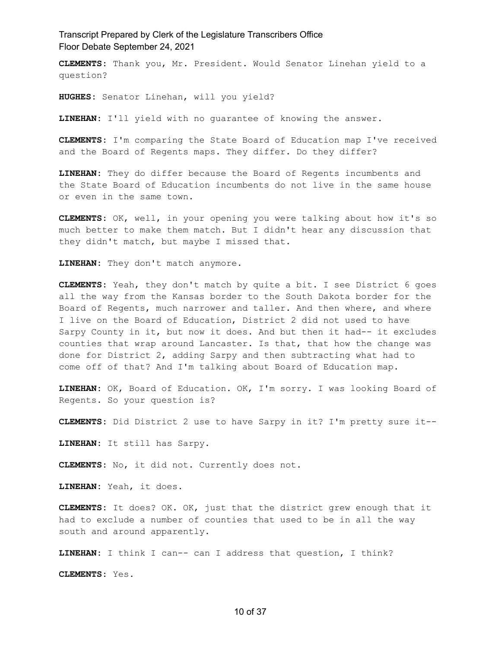**CLEMENTS:** Thank you, Mr. President. Would Senator Linehan yield to a question?

**HUGHES:** Senator Linehan, will you yield?

**LINEHAN:** I'll yield with no guarantee of knowing the answer.

**CLEMENTS:** I'm comparing the State Board of Education map I've received and the Board of Regents maps. They differ. Do they differ?

**LINEHAN:** They do differ because the Board of Regents incumbents and the State Board of Education incumbents do not live in the same house or even in the same town.

**CLEMENTS:** OK, well, in your opening you were talking about how it's so much better to make them match. But I didn't hear any discussion that they didn't match, but maybe I missed that.

**LINEHAN:** They don't match anymore.

**CLEMENTS:** Yeah, they don't match by quite a bit. I see District 6 goes all the way from the Kansas border to the South Dakota border for the Board of Regents, much narrower and taller. And then where, and where I live on the Board of Education, District 2 did not used to have Sarpy County in it, but now it does. And but then it had-- it excludes counties that wrap around Lancaster. Is that, that how the change was done for District 2, adding Sarpy and then subtracting what had to come off of that? And I'm talking about Board of Education map.

**LINEHAN:** OK, Board of Education. OK, I'm sorry. I was looking Board of Regents. So your question is?

**CLEMENTS:** Did District 2 use to have Sarpy in it? I'm pretty sure it--

**LINEHAN:** It still has Sarpy.

**CLEMENTS:** No, it did not. Currently does not.

**LINEHAN:** Yeah, it does.

**CLEMENTS:** It does? OK. OK, just that the district grew enough that it had to exclude a number of counties that used to be in all the way south and around apparently.

**LINEHAN:** I think I can-- can I address that question, I think?

**CLEMENTS:** Yes.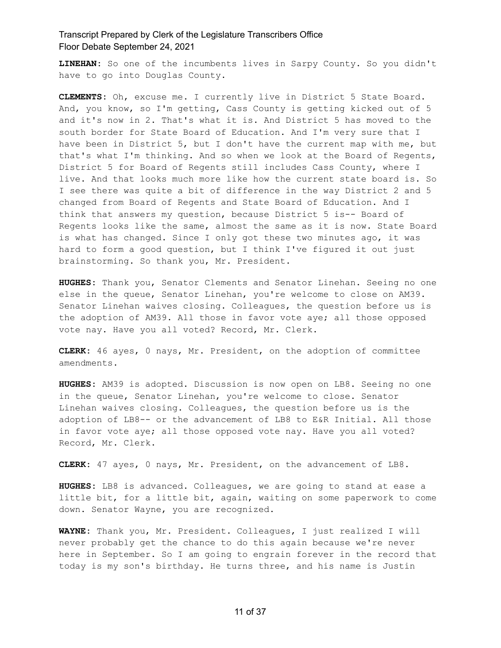**LINEHAN:** So one of the incumbents lives in Sarpy County. So you didn't have to go into Douglas County.

**CLEMENTS:** Oh, excuse me. I currently live in District 5 State Board. And, you know, so I'm getting, Cass County is getting kicked out of 5 and it's now in 2. That's what it is. And District 5 has moved to the south border for State Board of Education. And I'm very sure that I have been in District 5, but I don't have the current map with me, but that's what I'm thinking. And so when we look at the Board of Regents, District 5 for Board of Regents still includes Cass County, where I live. And that looks much more like how the current state board is. So I see there was quite a bit of difference in the way District 2 and 5 changed from Board of Regents and State Board of Education. And I think that answers my question, because District 5 is-- Board of Regents looks like the same, almost the same as it is now. State Board is what has changed. Since I only got these two minutes ago, it was hard to form a good question, but I think I've figured it out just brainstorming. So thank you, Mr. President.

**HUGHES:** Thank you, Senator Clements and Senator Linehan. Seeing no one else in the queue, Senator Linehan, you're welcome to close on AM39. Senator Linehan waives closing. Colleagues, the question before us is the adoption of AM39. All those in favor vote aye; all those opposed vote nay. Have you all voted? Record, Mr. Clerk.

**CLERK:** 46 ayes, 0 nays, Mr. President, on the adoption of committee amendments.

**HUGHES:** AM39 is adopted. Discussion is now open on LB8. Seeing no one in the queue, Senator Linehan, you're welcome to close. Senator Linehan waives closing. Colleagues, the question before us is the adoption of LB8-- or the advancement of LB8 to E&R Initial. All those in favor vote aye; all those opposed vote nay. Have you all voted? Record, Mr. Clerk.

**CLERK:** 47 ayes, 0 nays, Mr. President, on the advancement of LB8.

**HUGHES:** LB8 is advanced. Colleagues, we are going to stand at ease a little bit, for a little bit, again, waiting on some paperwork to come down. Senator Wayne, you are recognized.

**WAYNE:** Thank you, Mr. President. Colleagues, I just realized I will never probably get the chance to do this again because we're never here in September. So I am going to engrain forever in the record that today is my son's birthday. He turns three, and his name is Justin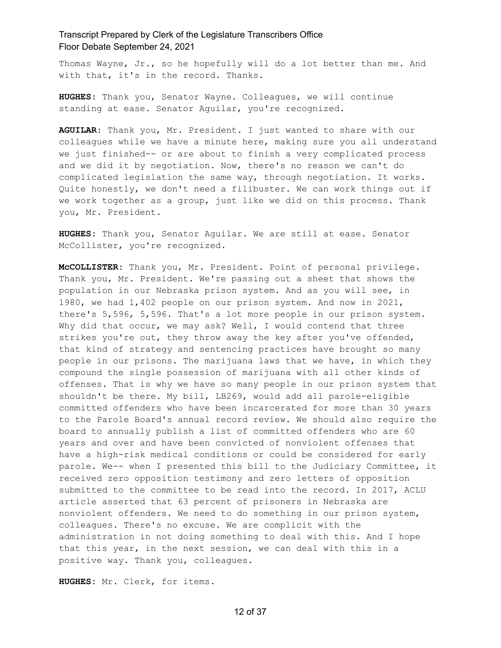Thomas Wayne, Jr., so he hopefully will do a lot better than me. And with that, it's in the record. Thanks.

**HUGHES:** Thank you, Senator Wayne. Colleagues, we will continue standing at ease. Senator Aguilar, you're recognized.

**AGUILAR:** Thank you, Mr. President. I just wanted to share with our colleagues while we have a minute here, making sure you all understand we just finished-- or are about to finish a very complicated process and we did it by negotiation. Now, there's no reason we can't do complicated legislation the same way, through negotiation. It works. Quite honestly, we don't need a filibuster. We can work things out if we work together as a group, just like we did on this process. Thank you, Mr. President.

**HUGHES:** Thank you, Senator Aguilar. We are still at ease. Senator McCollister, you're recognized.

**McCOLLISTER:** Thank you, Mr. President. Point of personal privilege. Thank you, Mr. President. We're passing out a sheet that shows the population in our Nebraska prison system. And as you will see, in 1980, we had 1,402 people on our prison system. And now in 2021, there's 5,596, 5,596. That's a lot more people in our prison system. Why did that occur, we may ask? Well, I would contend that three strikes you're out, they throw away the key after you've offended, that kind of strategy and sentencing practices have brought so many people in our prisons. The marijuana laws that we have, in which they compound the single possession of marijuana with all other kinds of offenses. That is why we have so many people in our prison system that shouldn't be there. My bill, LB269, would add all parole-eligible committed offenders who have been incarcerated for more than 30 years to the Parole Board's annual record review. We should also require the board to annually publish a list of committed offenders who are 60 years and over and have been convicted of nonviolent offenses that have a high-risk medical conditions or could be considered for early parole. We-- when I presented this bill to the Judiciary Committee, it received zero opposition testimony and zero letters of opposition submitted to the committee to be read into the record. In 2017, ACLU article asserted that 63 percent of prisoners in Nebraska are nonviolent offenders. We need to do something in our prison system, colleagues. There's no excuse. We are complicit with the administration in not doing something to deal with this. And I hope that this year, in the next session, we can deal with this in a positive way. Thank you, colleagues.

**HUGHES:** Mr. Clerk, for items.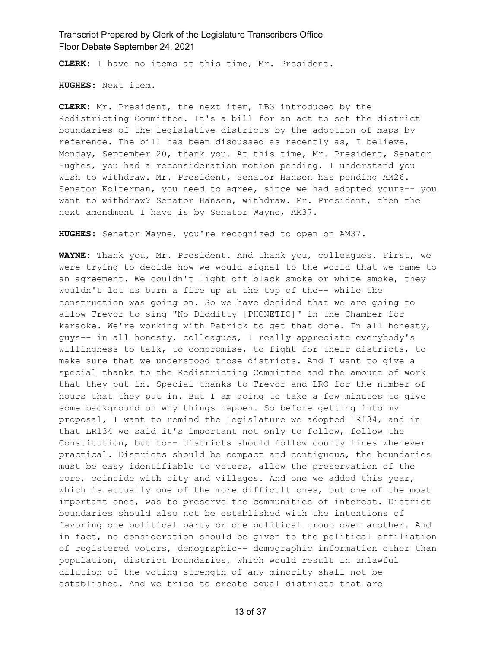**CLERK:** I have no items at this time, Mr. President.

**HUGHES:** Next item.

**CLERK:** Mr. President, the next item, LB3 introduced by the Redistricting Committee. It's a bill for an act to set the district boundaries of the legislative districts by the adoption of maps by reference. The bill has been discussed as recently as, I believe, Monday, September 20, thank you. At this time, Mr. President, Senator Hughes, you had a reconsideration motion pending. I understand you wish to withdraw. Mr. President, Senator Hansen has pending AM26. Senator Kolterman, you need to agree, since we had adopted yours-- you want to withdraw? Senator Hansen, withdraw. Mr. President, then the next amendment I have is by Senator Wayne, AM37.

**HUGHES:** Senator Wayne, you're recognized to open on AM37.

**WAYNE:** Thank you, Mr. President. And thank you, colleagues. First, we were trying to decide how we would signal to the world that we came to an agreement. We couldn't light off black smoke or white smoke, they wouldn't let us burn a fire up at the top of the-- while the construction was going on. So we have decided that we are going to allow Trevor to sing "No Didditty [PHONETIC]" in the Chamber for karaoke. We're working with Patrick to get that done. In all honesty, guys-- in all honesty, colleagues, I really appreciate everybody's willingness to talk, to compromise, to fight for their districts, to make sure that we understood those districts. And I want to give a special thanks to the Redistricting Committee and the amount of work that they put in. Special thanks to Trevor and LRO for the number of hours that they put in. But I am going to take a few minutes to give some background on why things happen. So before getting into my proposal, I want to remind the Legislature we adopted LR134, and in that LR134 we said it's important not only to follow, follow the Constitution, but to-- districts should follow county lines whenever practical. Districts should be compact and contiguous, the boundaries must be easy identifiable to voters, allow the preservation of the core, coincide with city and villages. And one we added this year, which is actually one of the more difficult ones, but one of the most important ones, was to preserve the communities of interest. District boundaries should also not be established with the intentions of favoring one political party or one political group over another. And in fact, no consideration should be given to the political affiliation of registered voters, demographic-- demographic information other than population, district boundaries, which would result in unlawful dilution of the voting strength of any minority shall not be established. And we tried to create equal districts that are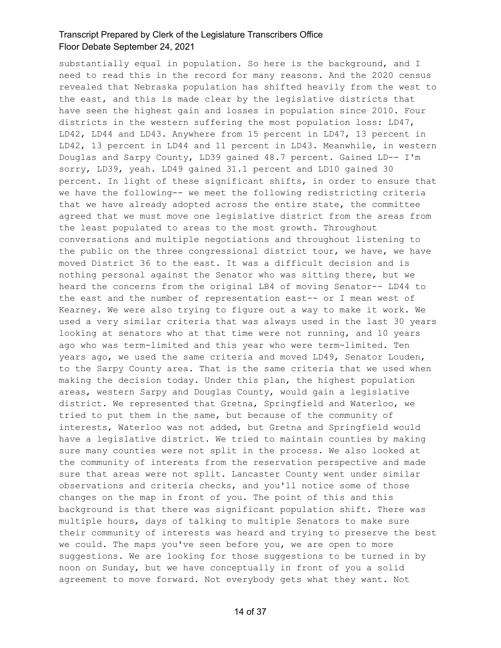substantially equal in population. So here is the background, and I need to read this in the record for many reasons. And the 2020 census revealed that Nebraska population has shifted heavily from the west to the east, and this is made clear by the legislative districts that have seen the highest gain and losses in population since 2010. Four districts in the western suffering the most population loss: LD47, LD42, LD44 and LD43. Anywhere from 15 percent in LD47, 13 percent in LD42, 13 percent in LD44 and 11 percent in LD43. Meanwhile, in western Douglas and Sarpy County, LD39 gained 48.7 percent. Gained LD-- I'm sorry, LD39, yeah. LD49 gained 31.1 percent and LD10 gained 30 percent. In light of these significant shifts, in order to ensure that we have the following-- we meet the following redistricting criteria that we have already adopted across the entire state, the committee agreed that we must move one legislative district from the areas from the least populated to areas to the most growth. Throughout conversations and multiple negotiations and throughout listening to the public on the three congressional district tour, we have, we have moved District 36 to the east. It was a difficult decision and is nothing personal against the Senator who was sitting there, but we heard the concerns from the original LB4 of moving Senator-- LD44 to the east and the number of representation east-- or I mean west of Kearney. We were also trying to figure out a way to make it work. We used a very similar criteria that was always used in the last 30 years looking at senators who at that time were not running, and 10 years ago who was term-limited and this year who were term-limited. Ten years ago, we used the same criteria and moved LD49, Senator Louden, to the Sarpy County area. That is the same criteria that we used when making the decision today. Under this plan, the highest population areas, western Sarpy and Douglas County, would gain a legislative district. We represented that Gretna, Springfield and Waterloo, we tried to put them in the same, but because of the community of interests, Waterloo was not added, but Gretna and Springfield would have a legislative district. We tried to maintain counties by making sure many counties were not split in the process. We also looked at the community of interests from the reservation perspective and made sure that areas were not split. Lancaster County went under similar observations and criteria checks, and you'll notice some of those changes on the map in front of you. The point of this and this background is that there was significant population shift. There was multiple hours, days of talking to multiple Senators to make sure their community of interests was heard and trying to preserve the best we could. The maps you've seen before you, we are open to more suggestions. We are looking for those suggestions to be turned in by noon on Sunday, but we have conceptually in front of you a solid agreement to move forward. Not everybody gets what they want. Not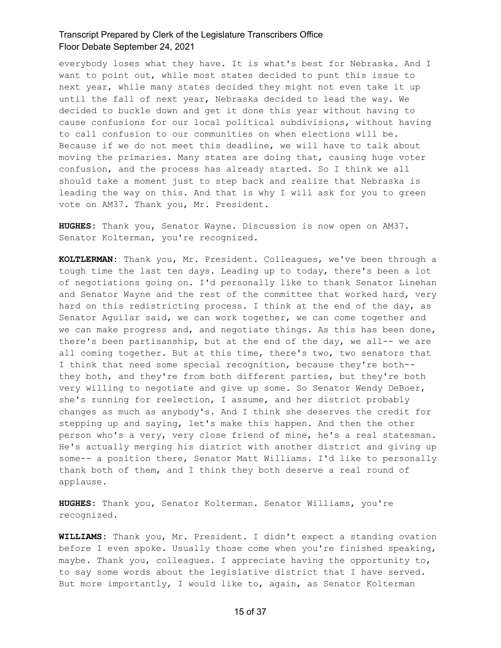everybody loses what they have. It is what's best for Nebraska. And I want to point out, while most states decided to punt this issue to next year, while many states decided they might not even take it up until the fall of next year, Nebraska decided to lead the way. We decided to buckle down and get it done this year without having to cause confusions for our local political subdivisions, without having to call confusion to our communities on when elections will be. Because if we do not meet this deadline, we will have to talk about moving the primaries. Many states are doing that, causing huge voter confusion, and the process has already started. So I think we all should take a moment just to step back and realize that Nebraska is leading the way on this. And that is why I will ask for you to green vote on AM37. Thank you, Mr. President.

**HUGHES:** Thank you, Senator Wayne. Discussion is now open on AM37. Senator Kolterman, you're recognized.

**KOLTLERMAN:** Thank you, Mr. President. Colleagues, we've been through a tough time the last ten days. Leading up to today, there's been a lot of negotiations going on. I'd personally like to thank Senator Linehan and Senator Wayne and the rest of the committee that worked hard, very hard on this redistricting process. I think at the end of the day, as Senator Aguilar said, we can work together, we can come together and we can make progress and, and negotiate things. As this has been done, there's been partisanship, but at the end of the day, we all-- we are all coming together. But at this time, there's two, two senators that I think that need some special recognition, because they're both- they both, and they're from both different parties, but they're both very willing to negotiate and give up some. So Senator Wendy DeBoer, she's running for reelection, I assume, and her district probably changes as much as anybody's. And I think she deserves the credit for stepping up and saying, let's make this happen. And then the other person who's a very, very close friend of mine, he's a real statesman. He's actually merging his district with another district and giving up some-- a position there, Senator Matt Williams. I'd like to personally thank both of them, and I think they both deserve a real round of applause.

**HUGHES:** Thank you, Senator Kolterman. Senator Williams, you're recognized.

**WILLIAMS:** Thank you, Mr. President. I didn't expect a standing ovation before I even spoke. Usually those come when you're finished speaking, maybe. Thank you, colleagues. I appreciate having the opportunity to, to say some words about the legislative district that I have served. But more importantly, I would like to, again, as Senator Kolterman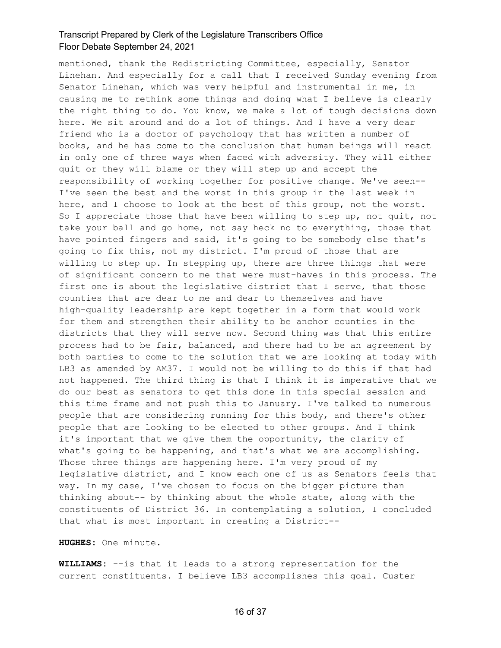mentioned, thank the Redistricting Committee, especially, Senator Linehan. And especially for a call that I received Sunday evening from Senator Linehan, which was very helpful and instrumental in me, in causing me to rethink some things and doing what I believe is clearly the right thing to do. You know, we make a lot of tough decisions down here. We sit around and do a lot of things. And I have a very dear friend who is a doctor of psychology that has written a number of books, and he has come to the conclusion that human beings will react in only one of three ways when faced with adversity. They will either quit or they will blame or they will step up and accept the responsibility of working together for positive change. We've seen-- I've seen the best and the worst in this group in the last week in here, and I choose to look at the best of this group, not the worst. So I appreciate those that have been willing to step up, not quit, not take your ball and go home, not say heck no to everything, those that have pointed fingers and said, it's going to be somebody else that's going to fix this, not my district. I'm proud of those that are willing to step up. In stepping up, there are three things that were of significant concern to me that were must-haves in this process. The first one is about the legislative district that I serve, that those counties that are dear to me and dear to themselves and have high-quality leadership are kept together in a form that would work for them and strengthen their ability to be anchor counties in the districts that they will serve now. Second thing was that this entire process had to be fair, balanced, and there had to be an agreement by both parties to come to the solution that we are looking at today with LB3 as amended by AM37. I would not be willing to do this if that had not happened. The third thing is that I think it is imperative that we do our best as senators to get this done in this special session and this time frame and not push this to January. I've talked to numerous people that are considering running for this body, and there's other people that are looking to be elected to other groups. And I think it's important that we give them the opportunity, the clarity of what's going to be happening, and that's what we are accomplishing. Those three things are happening here. I'm very proud of my legislative district, and I know each one of us as Senators feels that way. In my case, I've chosen to focus on the bigger picture than thinking about-- by thinking about the whole state, along with the constituents of District 36. In contemplating a solution, I concluded that what is most important in creating a District--

**HUGHES:** One minute.

**WILLIAMS:** --is that it leads to a strong representation for the current constituents. I believe LB3 accomplishes this goal. Custer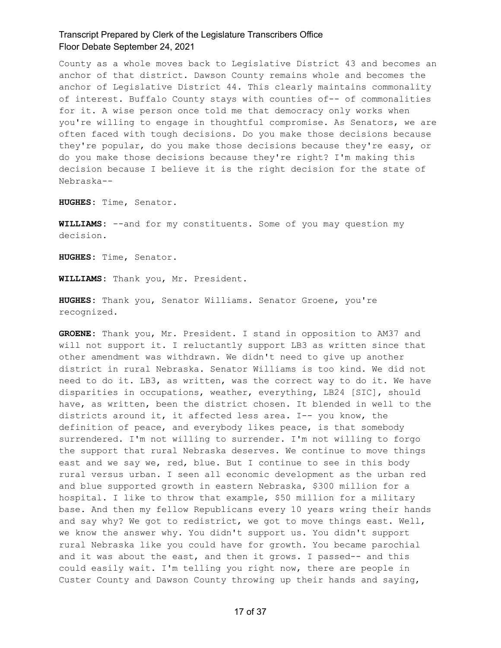County as a whole moves back to Legislative District 43 and becomes an anchor of that district. Dawson County remains whole and becomes the anchor of Legislative District 44. This clearly maintains commonality of interest. Buffalo County stays with counties of-- of commonalities for it. A wise person once told me that democracy only works when you're willing to engage in thoughtful compromise. As Senators, we are often faced with tough decisions. Do you make those decisions because they're popular, do you make those decisions because they're easy, or do you make those decisions because they're right? I'm making this decision because I believe it is the right decision for the state of Nebraska--

**HUGHES:** Time, Senator.

**WILLIAMS:** --and for my constituents. Some of you may question my decision.

**HUGHES:** Time, Senator.

**WILLIAMS:** Thank you, Mr. President.

**HUGHES:** Thank you, Senator Williams. Senator Groene, you're recognized.

**GROENE:** Thank you, Mr. President. I stand in opposition to AM37 and will not support it. I reluctantly support LB3 as written since that other amendment was withdrawn. We didn't need to give up another district in rural Nebraska. Senator Williams is too kind. We did not need to do it. LB3, as written, was the correct way to do it. We have disparities in occupations, weather, everything, LB24 [SIC], should have, as written, been the district chosen. It blended in well to the districts around it, it affected less area. I-- you know, the definition of peace, and everybody likes peace, is that somebody surrendered. I'm not willing to surrender. I'm not willing to forgo the support that rural Nebraska deserves. We continue to move things east and we say we, red, blue. But I continue to see in this body rural versus urban. I seen all economic development as the urban red and blue supported growth in eastern Nebraska, \$300 million for a hospital. I like to throw that example, \$50 million for a military base. And then my fellow Republicans every 10 years wring their hands and say why? We got to redistrict, we got to move things east. Well, we know the answer why. You didn't support us. You didn't support rural Nebraska like you could have for growth. You became parochial and it was about the east, and then it grows. I passed-- and this could easily wait. I'm telling you right now, there are people in Custer County and Dawson County throwing up their hands and saying,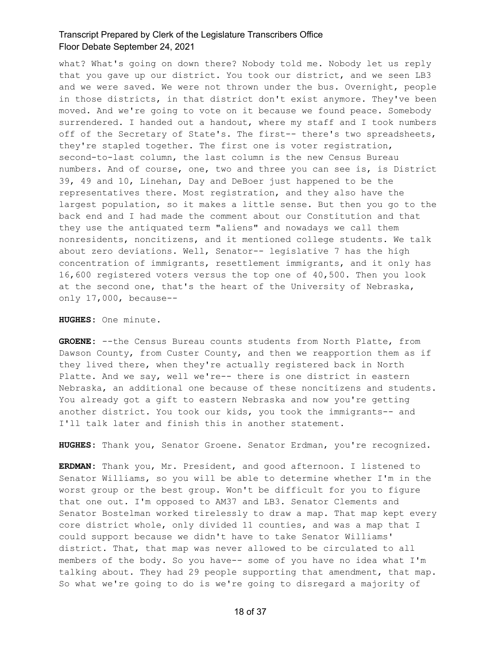what? What's going on down there? Nobody told me. Nobody let us reply that you gave up our district. You took our district, and we seen LB3 and we were saved. We were not thrown under the bus. Overnight, people in those districts, in that district don't exist anymore. They've been moved. And we're going to vote on it because we found peace. Somebody surrendered. I handed out a handout, where my staff and I took numbers off of the Secretary of State's. The first-- there's two spreadsheets, they're stapled together. The first one is voter registration, second-to-last column, the last column is the new Census Bureau numbers. And of course, one, two and three you can see is, is District 39, 49 and 10, Linehan, Day and DeBoer just happened to be the representatives there. Most registration, and they also have the largest population, so it makes a little sense. But then you go to the back end and I had made the comment about our Constitution and that they use the antiquated term "aliens" and nowadays we call them nonresidents, noncitizens, and it mentioned college students. We talk about zero deviations. Well, Senator-- legislative 7 has the high concentration of immigrants, resettlement immigrants, and it only has 16,600 registered voters versus the top one of 40,500. Then you look at the second one, that's the heart of the University of Nebraska, only 17,000, because--

**HUGHES:** One minute.

**GROENE:** --the Census Bureau counts students from North Platte, from Dawson County, from Custer County, and then we reapportion them as if they lived there, when they're actually registered back in North Platte. And we say, well we're-- there is one district in eastern Nebraska, an additional one because of these noncitizens and students. You already got a gift to eastern Nebraska and now you're getting another district. You took our kids, you took the immigrants-- and I'll talk later and finish this in another statement.

**HUGHES:** Thank you, Senator Groene. Senator Erdman, you're recognized.

**ERDMAN:** Thank you, Mr. President, and good afternoon. I listened to Senator Williams, so you will be able to determine whether I'm in the worst group or the best group. Won't be difficult for you to figure that one out. I'm opposed to AM37 and LB3. Senator Clements and Senator Bostelman worked tirelessly to draw a map. That map kept every core district whole, only divided 11 counties, and was a map that I could support because we didn't have to take Senator Williams' district. That, that map was never allowed to be circulated to all members of the body. So you have-- some of you have no idea what I'm talking about. They had 29 people supporting that amendment, that map. So what we're going to do is we're going to disregard a majority of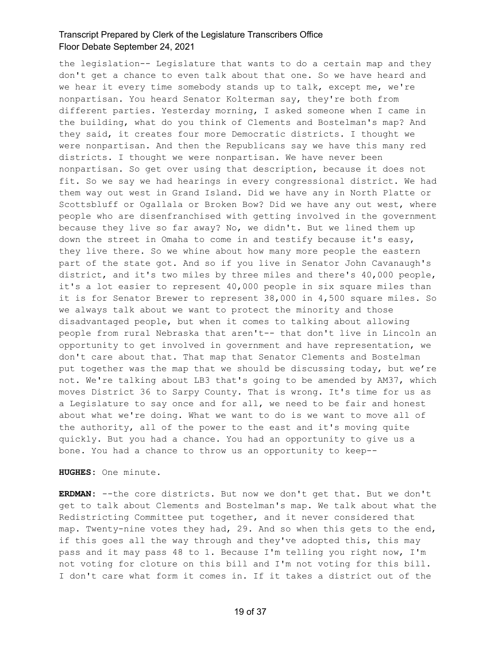the legislation-- Legislature that wants to do a certain map and they don't get a chance to even talk about that one. So we have heard and we hear it every time somebody stands up to talk, except me, we're nonpartisan. You heard Senator Kolterman say, they're both from different parties. Yesterday morning, I asked someone when I came in the building, what do you think of Clements and Bostelman's map? And they said, it creates four more Democratic districts. I thought we were nonpartisan. And then the Republicans say we have this many red districts. I thought we were nonpartisan. We have never been nonpartisan. So get over using that description, because it does not fit. So we say we had hearings in every congressional district. We had them way out west in Grand Island. Did we have any in North Platte or Scottsbluff or Ogallala or Broken Bow? Did we have any out west, where people who are disenfranchised with getting involved in the government because they live so far away? No, we didn't. But we lined them up down the street in Omaha to come in and testify because it's easy, they live there. So we whine about how many more people the eastern part of the state got. And so if you live in Senator John Cavanaugh's district, and it's two miles by three miles and there's 40,000 people, it's a lot easier to represent 40,000 people in six square miles than it is for Senator Brewer to represent 38,000 in 4,500 square miles. So we always talk about we want to protect the minority and those disadvantaged people, but when it comes to talking about allowing people from rural Nebraska that aren't-- that don't live in Lincoln an opportunity to get involved in government and have representation, we don't care about that. That map that Senator Clements and Bostelman put together was the map that we should be discussing today, but we're not. We're talking about LB3 that's going to be amended by AM37, which moves District 36 to Sarpy County. That is wrong. It's time for us as a Legislature to say once and for all, we need to be fair and honest about what we're doing. What we want to do is we want to move all of the authority, all of the power to the east and it's moving quite quickly. But you had a chance. You had an opportunity to give us a bone. You had a chance to throw us an opportunity to keep--

**HUGHES:** One minute.

**ERDMAN:** --the core districts. But now we don't get that. But we don't get to talk about Clements and Bostelman's map. We talk about what the Redistricting Committee put together, and it never considered that map. Twenty-nine votes they had, 29. And so when this gets to the end, if this goes all the way through and they've adopted this, this may pass and it may pass 48 to 1. Because I'm telling you right now, I'm not voting for cloture on this bill and I'm not voting for this bill. I don't care what form it comes in. If it takes a district out of the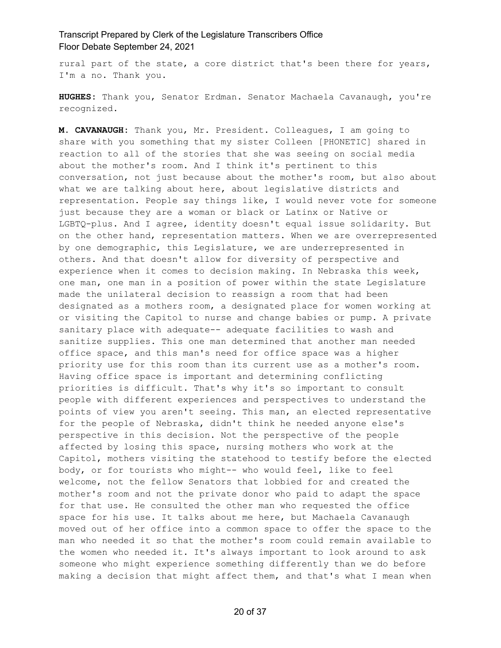rural part of the state, a core district that's been there for years, I'm a no. Thank you.

**HUGHES:** Thank you, Senator Erdman. Senator Machaela Cavanaugh, you're recognized.

**M. CAVANAUGH:** Thank you, Mr. President. Colleagues, I am going to share with you something that my sister Colleen [PHONETIC] shared in reaction to all of the stories that she was seeing on social media about the mother's room. And I think it's pertinent to this conversation, not just because about the mother's room, but also about what we are talking about here, about legislative districts and representation. People say things like, I would never vote for someone just because they are a woman or black or Latinx or Native or LGBTQ-plus. And I agree, identity doesn't equal issue solidarity. But on the other hand, representation matters. When we are overrepresented by one demographic, this Legislature, we are underrepresented in others. And that doesn't allow for diversity of perspective and experience when it comes to decision making. In Nebraska this week, one man, one man in a position of power within the state Legislature made the unilateral decision to reassign a room that had been designated as a mothers room, a designated place for women working at or visiting the Capitol to nurse and change babies or pump. A private sanitary place with adequate-- adequate facilities to wash and sanitize supplies. This one man determined that another man needed office space, and this man's need for office space was a higher priority use for this room than its current use as a mother's room. Having office space is important and determining conflicting priorities is difficult. That's why it's so important to consult people with different experiences and perspectives to understand the points of view you aren't seeing. This man, an elected representative for the people of Nebraska, didn't think he needed anyone else's perspective in this decision. Not the perspective of the people affected by losing this space, nursing mothers who work at the Capitol, mothers visiting the statehood to testify before the elected body, or for tourists who might-- who would feel, like to feel welcome, not the fellow Senators that lobbied for and created the mother's room and not the private donor who paid to adapt the space for that use. He consulted the other man who requested the office space for his use. It talks about me here, but Machaela Cavanaugh moved out of her office into a common space to offer the space to the man who needed it so that the mother's room could remain available to the women who needed it. It's always important to look around to ask someone who might experience something differently than we do before making a decision that might affect them, and that's what I mean when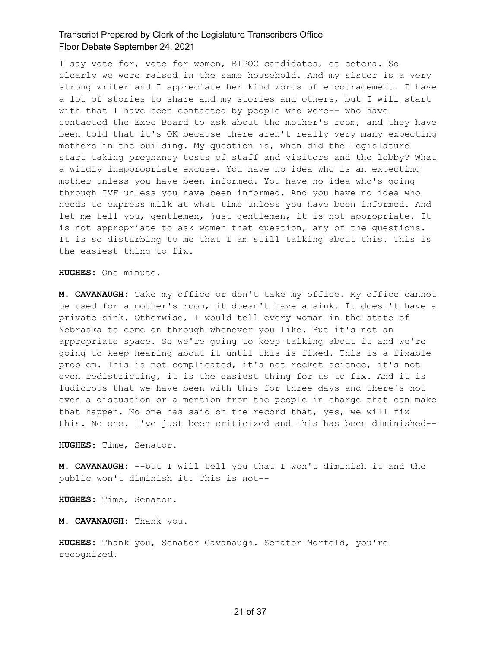I say vote for, vote for women, BIPOC candidates, et cetera. So clearly we were raised in the same household. And my sister is a very strong writer and I appreciate her kind words of encouragement. I have a lot of stories to share and my stories and others, but I will start with that I have been contacted by people who were-- who have contacted the Exec Board to ask about the mother's room, and they have been told that it's OK because there aren't really very many expecting mothers in the building. My question is, when did the Legislature start taking pregnancy tests of staff and visitors and the lobby? What a wildly inappropriate excuse. You have no idea who is an expecting mother unless you have been informed. You have no idea who's going through IVF unless you have been informed. And you have no idea who needs to express milk at what time unless you have been informed. And let me tell you, gentlemen, just gentlemen, it is not appropriate. It is not appropriate to ask women that question, any of the questions. It is so disturbing to me that I am still talking about this. This is the easiest thing to fix.

**HUGHES:** One minute.

**M. CAVANAUGH:** Take my office or don't take my office. My office cannot be used for a mother's room, it doesn't have a sink. It doesn't have a private sink. Otherwise, I would tell every woman in the state of Nebraska to come on through whenever you like. But it's not an appropriate space. So we're going to keep talking about it and we're going to keep hearing about it until this is fixed. This is a fixable problem. This is not complicated, it's not rocket science, it's not even redistricting, it is the easiest thing for us to fix. And it is ludicrous that we have been with this for three days and there's not even a discussion or a mention from the people in charge that can make that happen. No one has said on the record that, yes, we will fix this. No one. I've just been criticized and this has been diminished--

**HUGHES:** Time, Senator.

**M. CAVANAUGH:** --but I will tell you that I won't diminish it and the public won't diminish it. This is not--

**HUGHES:** Time, Senator.

**M. CAVANAUGH:** Thank you.

**HUGHES:** Thank you, Senator Cavanaugh. Senator Morfeld, you're recognized.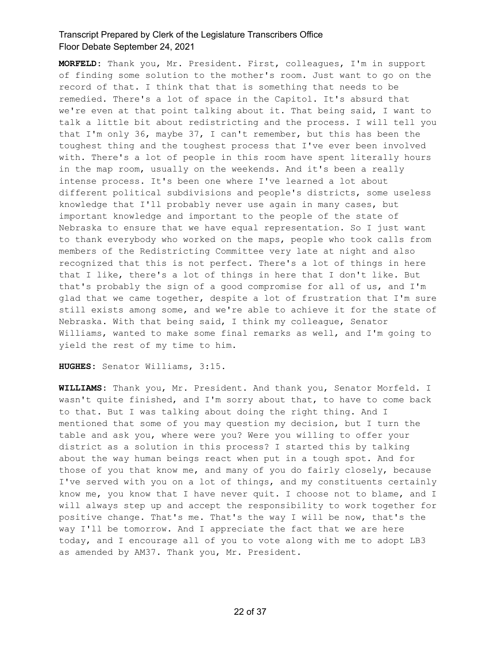**MORFELD:** Thank you, Mr. President. First, colleagues, I'm in support of finding some solution to the mother's room. Just want to go on the record of that. I think that that is something that needs to be remedied. There's a lot of space in the Capitol. It's absurd that we're even at that point talking about it. That being said, I want to talk a little bit about redistricting and the process. I will tell you that I'm only 36, maybe 37, I can't remember, but this has been the toughest thing and the toughest process that I've ever been involved with. There's a lot of people in this room have spent literally hours in the map room, usually on the weekends. And it's been a really intense process. It's been one where I've learned a lot about different political subdivisions and people's districts, some useless knowledge that I'll probably never use again in many cases, but important knowledge and important to the people of the state of Nebraska to ensure that we have equal representation. So I just want to thank everybody who worked on the maps, people who took calls from members of the Redistricting Committee very late at night and also recognized that this is not perfect. There's a lot of things in here that I like, there's a lot of things in here that I don't like. But that's probably the sign of a good compromise for all of us, and I'm glad that we came together, despite a lot of frustration that I'm sure still exists among some, and we're able to achieve it for the state of Nebraska. With that being said, I think my colleague, Senator Williams, wanted to make some final remarks as well, and I'm going to yield the rest of my time to him.

**HUGHES:** Senator Williams, 3:15.

**WILLIAMS:** Thank you, Mr. President. And thank you, Senator Morfeld. I wasn't quite finished, and I'm sorry about that, to have to come back to that. But I was talking about doing the right thing. And I mentioned that some of you may question my decision, but I turn the table and ask you, where were you? Were you willing to offer your district as a solution in this process? I started this by talking about the way human beings react when put in a tough spot. And for those of you that know me, and many of you do fairly closely, because I've served with you on a lot of things, and my constituents certainly know me, you know that I have never quit. I choose not to blame, and I will always step up and accept the responsibility to work together for positive change. That's me. That's the way I will be now, that's the way I'll be tomorrow. And I appreciate the fact that we are here today, and I encourage all of you to vote along with me to adopt LB3 as amended by AM37. Thank you, Mr. President.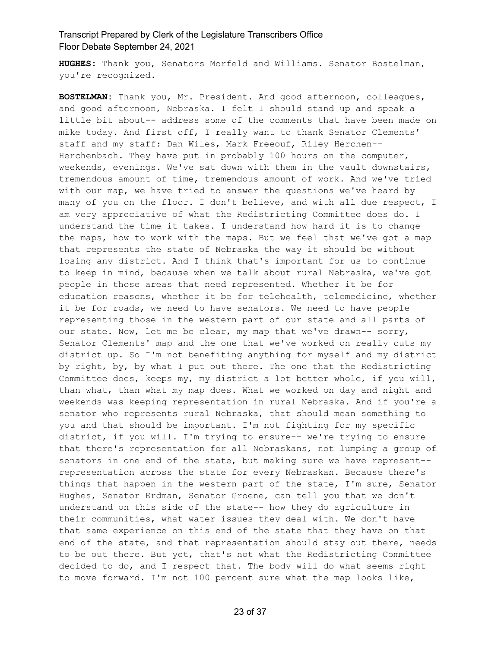**HUGHES:** Thank you, Senators Morfeld and Williams. Senator Bostelman, you're recognized.

**BOSTELMAN:** Thank you, Mr. President. And good afternoon, colleagues, and good afternoon, Nebraska. I felt I should stand up and speak a little bit about-- address some of the comments that have been made on mike today. And first off, I really want to thank Senator Clements' staff and my staff: Dan Wiles, Mark Freeouf, Riley Herchen-- Herchenbach. They have put in probably 100 hours on the computer, weekends, evenings. We've sat down with them in the vault downstairs, tremendous amount of time, tremendous amount of work. And we've tried with our map, we have tried to answer the questions we've heard by many of you on the floor. I don't believe, and with all due respect, I am very appreciative of what the Redistricting Committee does do. I understand the time it takes. I understand how hard it is to change the maps, how to work with the maps. But we feel that we've got a map that represents the state of Nebraska the way it should be without losing any district. And I think that's important for us to continue to keep in mind, because when we talk about rural Nebraska, we've got people in those areas that need represented. Whether it be for education reasons, whether it be for telehealth, telemedicine, whether it be for roads, we need to have senators. We need to have people representing those in the western part of our state and all parts of our state. Now, let me be clear, my map that we've drawn-- sorry, Senator Clements' map and the one that we've worked on really cuts my district up. So I'm not benefiting anything for myself and my district by right, by, by what I put out there. The one that the Redistricting Committee does, keeps my, my district a lot better whole, if you will, than what, than what my map does. What we worked on day and night and weekends was keeping representation in rural Nebraska. And if you're a senator who represents rural Nebraska, that should mean something to you and that should be important. I'm not fighting for my specific district, if you will. I'm trying to ensure-- we're trying to ensure that there's representation for all Nebraskans, not lumping a group of senators in one end of the state, but making sure we have represent- representation across the state for every Nebraskan. Because there's things that happen in the western part of the state, I'm sure, Senator Hughes, Senator Erdman, Senator Groene, can tell you that we don't understand on this side of the state-- how they do agriculture in their communities, what water issues they deal with. We don't have that same experience on this end of the state that they have on that end of the state, and that representation should stay out there, needs to be out there. But yet, that's not what the Redistricting Committee decided to do, and I respect that. The body will do what seems right to move forward. I'm not 100 percent sure what the map looks like,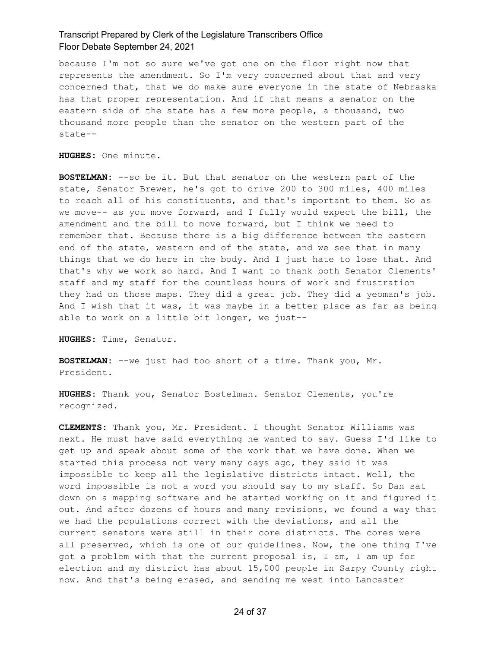because I'm not so sure we've got one on the floor right now that represents the amendment. So I'm very concerned about that and very concerned that, that we do make sure everyone in the state of Nebraska has that proper representation. And if that means a senator on the eastern side of the state has a few more people, a thousand, two thousand more people than the senator on the western part of the state--

**HUGHES:** One minute.

**BOSTELMAN:** --so be it. But that senator on the western part of the state, Senator Brewer, he's got to drive 200 to 300 miles, 400 miles to reach all of his constituents, and that's important to them. So as we move-- as you move forward, and I fully would expect the bill, the amendment and the bill to move forward, but I think we need to remember that. Because there is a big difference between the eastern end of the state, western end of the state, and we see that in many things that we do here in the body. And I just hate to lose that. And that's why we work so hard. And I want to thank both Senator Clements' staff and my staff for the countless hours of work and frustration they had on those maps. They did a great job. They did a yeoman's job. And I wish that it was, it was maybe in a better place as far as being able to work on a little bit longer, we just--

**HUGHES:** Time, Senator.

**BOSTELMAN:** --we just had too short of a time. Thank you, Mr. President.

**HUGHES:** Thank you, Senator Bostelman. Senator Clements, you're recognized.

**CLEMENTS:** Thank you, Mr. President. I thought Senator Williams was next. He must have said everything he wanted to say. Guess I'd like to get up and speak about some of the work that we have done. When we started this process not very many days ago, they said it was impossible to keep all the legislative districts intact. Well, the word impossible is not a word you should say to my staff. So Dan sat down on a mapping software and he started working on it and figured it out. And after dozens of hours and many revisions, we found a way that we had the populations correct with the deviations, and all the current senators were still in their core districts. The cores were all preserved, which is one of our guidelines. Now, the one thing I've got a problem with that the current proposal is, I am, I am up for election and my district has about 15,000 people in Sarpy County right now. And that's being erased, and sending me west into Lancaster

24 of 37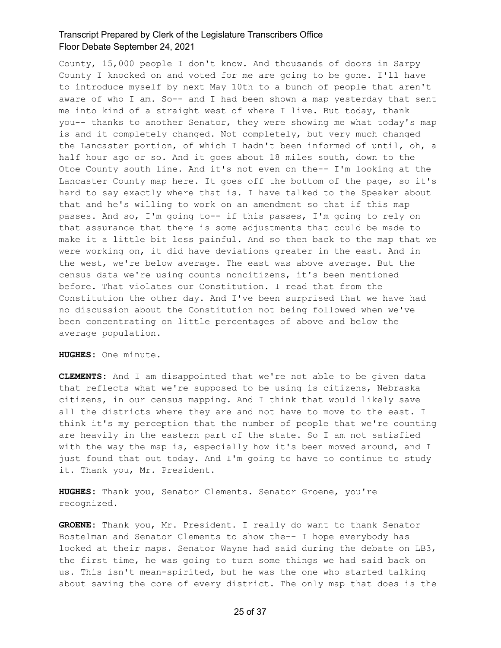County, 15,000 people I don't know. And thousands of doors in Sarpy County I knocked on and voted for me are going to be gone. I'll have to introduce myself by next May 10th to a bunch of people that aren't aware of who I am. So-- and I had been shown a map yesterday that sent me into kind of a straight west of where I live. But today, thank you-- thanks to another Senator, they were showing me what today's map is and it completely changed. Not completely, but very much changed the Lancaster portion, of which I hadn't been informed of until, oh, a half hour ago or so. And it goes about 18 miles south, down to the Otoe County south line. And it's not even on the-- I'm looking at the Lancaster County map here. It goes off the bottom of the page, so it's hard to say exactly where that is. I have talked to the Speaker about that and he's willing to work on an amendment so that if this map passes. And so, I'm going to-- if this passes, I'm going to rely on that assurance that there is some adjustments that could be made to make it a little bit less painful. And so then back to the map that we were working on, it did have deviations greater in the east. And in the west, we're below average. The east was above average. But the census data we're using counts noncitizens, it's been mentioned before. That violates our Constitution. I read that from the Constitution the other day. And I've been surprised that we have had no discussion about the Constitution not being followed when we've been concentrating on little percentages of above and below the average population.

**HUGHES:** One minute.

**CLEMENTS:** And I am disappointed that we're not able to be given data that reflects what we're supposed to be using is citizens, Nebraska citizens, in our census mapping. And I think that would likely save all the districts where they are and not have to move to the east. I think it's my perception that the number of people that we're counting are heavily in the eastern part of the state. So I am not satisfied with the way the map is, especially how it's been moved around, and I just found that out today. And I'm going to have to continue to study it. Thank you, Mr. President.

**HUGHES:** Thank you, Senator Clements. Senator Groene, you're recognized.

**GROENE:** Thank you, Mr. President. I really do want to thank Senator Bostelman and Senator Clements to show the-- I hope everybody has looked at their maps. Senator Wayne had said during the debate on LB3, the first time, he was going to turn some things we had said back on us. This isn't mean-spirited, but he was the one who started talking about saving the core of every district. The only map that does is the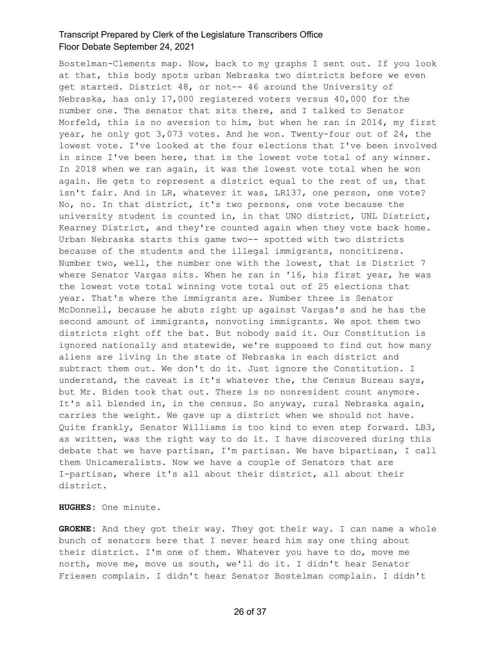Bostelman-Clements map. Now, back to my graphs I sent out. If you look at that, this body spots urban Nebraska two districts before we even get started. District 48, or not-- 46 around the University of Nebraska, has only 17,000 registered voters versus 40,000 for the number one. The senator that sits there, and I talked to Senator Morfeld, this is no aversion to him, but when he ran in 2014, my first year, he only got 3,073 votes. And he won. Twenty-four out of 24, the lowest vote. I've looked at the four elections that I've been involved in since I've been here, that is the lowest vote total of any winner. In 2018 when we ran again, it was the lowest vote total when he won again. He gets to represent a district equal to the rest of us, that isn't fair. And in LR, whatever it was, LR137, one person, one vote? No, no. In that district, it's two persons, one vote because the university student is counted in, in that UNO district, UNL District, Kearney District, and they're counted again when they vote back home. Urban Nebraska starts this game two-- spotted with two districts because of the students and the illegal immigrants, noncitizens. Number two, well, the number one with the lowest, that is District 7 where Senator Vargas sits. When he ran in '16, his first year, he was the lowest vote total winning vote total out of 25 elections that year. That's where the immigrants are. Number three is Senator McDonnell, because he abuts right up against Vargas's and he has the second amount of immigrants, nonvoting immigrants. We spot them two districts right off the bat. But nobody said it. Our Constitution is ignored nationally and statewide, we're supposed to find out how many aliens are living in the state of Nebraska in each district and subtract them out. We don't do it. Just ignore the Constitution. I understand, the caveat is it's whatever the, the Census Bureau says, but Mr. Biden took that out. There is no nonresident count anymore. It's all blended in, in the census. So anyway, rural Nebraska again, carries the weight. We gave up a district when we should not have. Quite frankly, Senator Williams is too kind to even step forward. LB3, as written, was the right way to do it. I have discovered during this debate that we have partisan, I'm partisan. We have bipartisan, I call them Unicameralists. Now we have a couple of Senators that are I-partisan, where it's all about their district, all about their district.

**HUGHES:** One minute.

**GROENE:** And they got their way. They got their way. I can name a whole bunch of senators here that I never heard him say one thing about their district. I'm one of them. Whatever you have to do, move me north, move me, move us south, we'll do it. I didn't hear Senator Friesen complain. I didn't hear Senator Bostelman complain. I didn't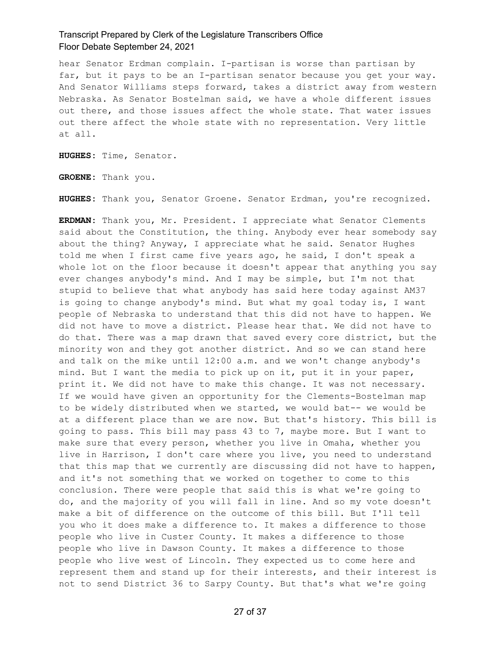hear Senator Erdman complain. I-partisan is worse than partisan by far, but it pays to be an I-partisan senator because you get your way. And Senator Williams steps forward, takes a district away from western Nebraska. As Senator Bostelman said, we have a whole different issues out there, and those issues affect the whole state. That water issues out there affect the whole state with no representation. Very little at all.

**HUGHES:** Time, Senator.

**GROENE:** Thank you.

**HUGHES:** Thank you, Senator Groene. Senator Erdman, you're recognized.

**ERDMAN:** Thank you, Mr. President. I appreciate what Senator Clements said about the Constitution, the thing. Anybody ever hear somebody say about the thing? Anyway, I appreciate what he said. Senator Hughes told me when I first came five years ago, he said, I don't speak a whole lot on the floor because it doesn't appear that anything you say ever changes anybody's mind. And I may be simple, but I'm not that stupid to believe that what anybody has said here today against AM37 is going to change anybody's mind. But what my goal today is, I want people of Nebraska to understand that this did not have to happen. We did not have to move a district. Please hear that. We did not have to do that. There was a map drawn that saved every core district, but the minority won and they got another district. And so we can stand here and talk on the mike until 12:00 a.m. and we won't change anybody's mind. But I want the media to pick up on it, put it in your paper, print it. We did not have to make this change. It was not necessary. If we would have given an opportunity for the Clements-Bostelman map to be widely distributed when we started, we would bat-- we would be at a different place than we are now. But that's history. This bill is going to pass. This bill may pass 43 to 7, maybe more. But I want to make sure that every person, whether you live in Omaha, whether you live in Harrison, I don't care where you live, you need to understand that this map that we currently are discussing did not have to happen, and it's not something that we worked on together to come to this conclusion. There were people that said this is what we're going to do, and the majority of you will fall in line. And so my vote doesn't make a bit of difference on the outcome of this bill. But I'll tell you who it does make a difference to. It makes a difference to those people who live in Custer County. It makes a difference to those people who live in Dawson County. It makes a difference to those people who live west of Lincoln. They expected us to come here and represent them and stand up for their interests, and their interest is not to send District 36 to Sarpy County. But that's what we're going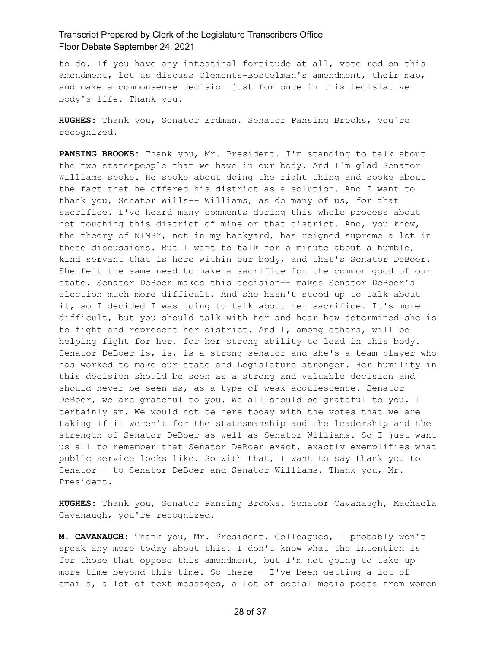to do. If you have any intestinal fortitude at all, vote red on this amendment, let us discuss Clements-Bostelman's amendment, their map, and make a commonsense decision just for once in this legislative body's life. Thank you.

**HUGHES:** Thank you, Senator Erdman. Senator Pansing Brooks, you're recognized.

**PANSING BROOKS:** Thank you, Mr. President. I'm standing to talk about the two statespeople that we have in our body. And I'm glad Senator Williams spoke. He spoke about doing the right thing and spoke about the fact that he offered his district as a solution. And I want to thank you, Senator Wills-- Williams, as do many of us, for that sacrifice. I've heard many comments during this whole process about not touching this district of mine or that district. And, you know, the theory of NIMBY, not in my backyard, has reigned supreme a lot in these discussions. But I want to talk for a minute about a humble, kind servant that is here within our body, and that's Senator DeBoer. She felt the same need to make a sacrifice for the common good of our state. Senator DeBoer makes this decision-- makes Senator DeBoer's election much more difficult. And she hasn't stood up to talk about it, so I decided I was going to talk about her sacrifice. It's more difficult, but you should talk with her and hear how determined she is to fight and represent her district. And I, among others, will be helping fight for her, for her strong ability to lead in this body. Senator DeBoer is, is, is a strong senator and she's a team player who has worked to make our state and Legislature stronger. Her humility in this decision should be seen as a strong and valuable decision and should never be seen as, as a type of weak acquiescence. Senator DeBoer, we are grateful to you. We all should be grateful to you. I certainly am. We would not be here today with the votes that we are taking if it weren't for the statesmanship and the leadership and the strength of Senator DeBoer as well as Senator Williams. So I just want us all to remember that Senator DeBoer exact, exactly exemplifies what public service looks like. So with that, I want to say thank you to Senator-- to Senator DeBoer and Senator Williams. Thank you, Mr. President.

**HUGHES:** Thank you, Senator Pansing Brooks. Senator Cavanaugh, Machaela Cavanaugh, you're recognized.

**M. CAVANAUGH:** Thank you, Mr. President. Colleagues, I probably won't speak any more today about this. I don't know what the intention is for those that oppose this amendment, but I'm not going to take up more time beyond this time. So there-- I've been getting a lot of emails, a lot of text messages, a lot of social media posts from women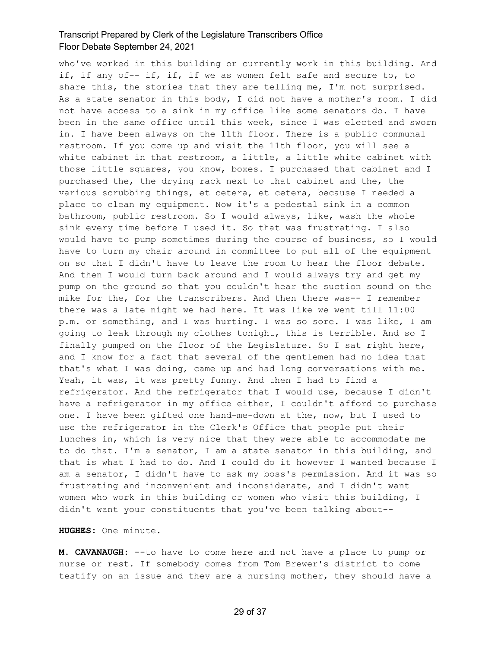who've worked in this building or currently work in this building. And if, if any of-- if, if, if we as women felt safe and secure to, to share this, the stories that they are telling me, I'm not surprised. As a state senator in this body, I did not have a mother's room. I did not have access to a sink in my office like some senators do. I have been in the same office until this week, since I was elected and sworn in. I have been always on the 11th floor. There is a public communal restroom. If you come up and visit the 11th floor, you will see a white cabinet in that restroom, a little, a little white cabinet with those little squares, you know, boxes. I purchased that cabinet and I purchased the, the drying rack next to that cabinet and the, the various scrubbing things, et cetera, et cetera, because I needed a place to clean my equipment. Now it's a pedestal sink in a common bathroom, public restroom. So I would always, like, wash the whole sink every time before I used it. So that was frustrating. I also would have to pump sometimes during the course of business, so I would have to turn my chair around in committee to put all of the equipment on so that I didn't have to leave the room to hear the floor debate. And then I would turn back around and I would always try and get my pump on the ground so that you couldn't hear the suction sound on the mike for the, for the transcribers. And then there was-- I remember there was a late night we had here. It was like we went till 11:00 p.m. or something, and I was hurting. I was so sore. I was like, I am going to leak through my clothes tonight, this is terrible. And so I finally pumped on the floor of the Legislature. So I sat right here, and I know for a fact that several of the gentlemen had no idea that that's what I was doing, came up and had long conversations with me. Yeah, it was, it was pretty funny. And then I had to find a refrigerator. And the refrigerator that I would use, because I didn't have a refrigerator in my office either, I couldn't afford to purchase one. I have been gifted one hand-me-down at the, now, but I used to use the refrigerator in the Clerk's Office that people put their lunches in, which is very nice that they were able to accommodate me to do that. I'm a senator, I am a state senator in this building, and that is what I had to do. And I could do it however I wanted because I am a senator, I didn't have to ask my boss's permission. And it was so frustrating and inconvenient and inconsiderate, and I didn't want women who work in this building or women who visit this building, I didn't want your constituents that you've been talking about--

**HUGHES:** One minute.

**M. CAVANAUGH:** --to have to come here and not have a place to pump or nurse or rest. If somebody comes from Tom Brewer's district to come testify on an issue and they are a nursing mother, they should have a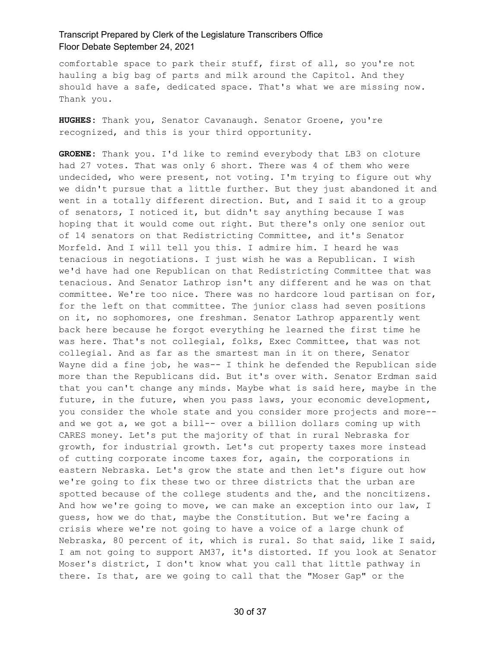comfortable space to park their stuff, first of all, so you're not hauling a big bag of parts and milk around the Capitol. And they should have a safe, dedicated space. That's what we are missing now. Thank you.

**HUGHES:** Thank you, Senator Cavanaugh. Senator Groene, you're recognized, and this is your third opportunity.

**GROENE:** Thank you. I'd like to remind everybody that LB3 on cloture had 27 votes. That was only 6 short. There was 4 of them who were undecided, who were present, not voting. I'm trying to figure out why we didn't pursue that a little further. But they just abandoned it and went in a totally different direction. But, and I said it to a group of senators, I noticed it, but didn't say anything because I was hoping that it would come out right. But there's only one senior out of 14 senators on that Redistricting Committee, and it's Senator Morfeld. And I will tell you this. I admire him. I heard he was tenacious in negotiations. I just wish he was a Republican. I wish we'd have had one Republican on that Redistricting Committee that was tenacious. And Senator Lathrop isn't any different and he was on that committee. We're too nice. There was no hardcore loud partisan on for, for the left on that committee. The junior class had seven positions on it, no sophomores, one freshman. Senator Lathrop apparently went back here because he forgot everything he learned the first time he was here. That's not collegial, folks, Exec Committee, that was not collegial. And as far as the smartest man in it on there, Senator Wayne did a fine job, he was-- I think he defended the Republican side more than the Republicans did. But it's over with. Senator Erdman said that you can't change any minds. Maybe what is said here, maybe in the future, in the future, when you pass laws, your economic development, you consider the whole state and you consider more projects and more- and we got a, we got a bill-- over a billion dollars coming up with CARES money. Let's put the majority of that in rural Nebraska for growth, for industrial growth. Let's cut property taxes more instead of cutting corporate income taxes for, again, the corporations in eastern Nebraska. Let's grow the state and then let's figure out how we're going to fix these two or three districts that the urban are spotted because of the college students and the, and the noncitizens. And how we're going to move, we can make an exception into our law, I guess, how we do that, maybe the Constitution. But we're facing a crisis where we're not going to have a voice of a large chunk of Nebraska, 80 percent of it, which is rural. So that said, like I said, I am not going to support AM37, it's distorted. If you look at Senator Moser's district, I don't know what you call that little pathway in there. Is that, are we going to call that the "Moser Gap" or the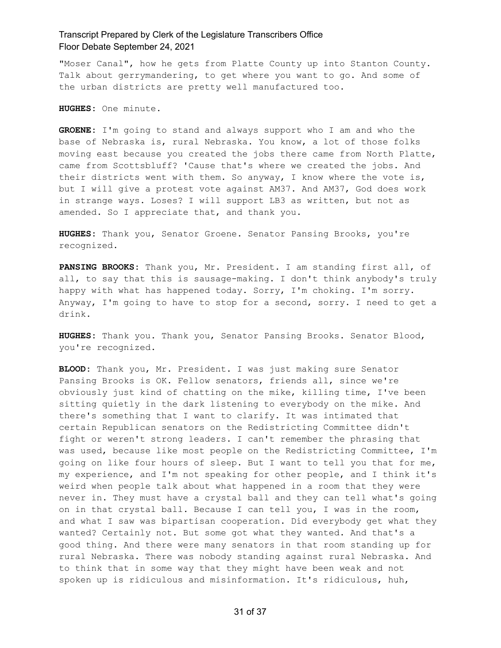"Moser Canal", how he gets from Platte County up into Stanton County. Talk about gerrymandering, to get where you want to go. And some of the urban districts are pretty well manufactured too.

**HUGHES:** One minute.

**GROENE:** I'm going to stand and always support who I am and who the base of Nebraska is, rural Nebraska. You know, a lot of those folks moving east because you created the jobs there came from North Platte, came from Scottsbluff? 'Cause that's where we created the jobs. And their districts went with them. So anyway, I know where the vote is, but I will give a protest vote against AM37. And AM37, God does work in strange ways. Loses? I will support LB3 as written, but not as amended. So I appreciate that, and thank you.

**HUGHES:** Thank you, Senator Groene. Senator Pansing Brooks, you're recognized.

**PANSING BROOKS:** Thank you, Mr. President. I am standing first all, of all, to say that this is sausage-making. I don't think anybody's truly happy with what has happened today. Sorry, I'm choking. I'm sorry. Anyway, I'm going to have to stop for a second, sorry. I need to get a drink.

**HUGHES:** Thank you. Thank you, Senator Pansing Brooks. Senator Blood, you're recognized.

**BLOOD:** Thank you, Mr. President. I was just making sure Senator Pansing Brooks is OK. Fellow senators, friends all, since we're obviously just kind of chatting on the mike, killing time, I've been sitting quietly in the dark listening to everybody on the mike. And there's something that I want to clarify. It was intimated that certain Republican senators on the Redistricting Committee didn't fight or weren't strong leaders. I can't remember the phrasing that was used, because like most people on the Redistricting Committee, I'm going on like four hours of sleep. But I want to tell you that for me, my experience, and I'm not speaking for other people, and I think it's weird when people talk about what happened in a room that they were never in. They must have a crystal ball and they can tell what's going on in that crystal ball. Because I can tell you, I was in the room, and what I saw was bipartisan cooperation. Did everybody get what they wanted? Certainly not. But some got what they wanted. And that's a good thing. And there were many senators in that room standing up for rural Nebraska. There was nobody standing against rural Nebraska. And to think that in some way that they might have been weak and not spoken up is ridiculous and misinformation. It's ridiculous, huh,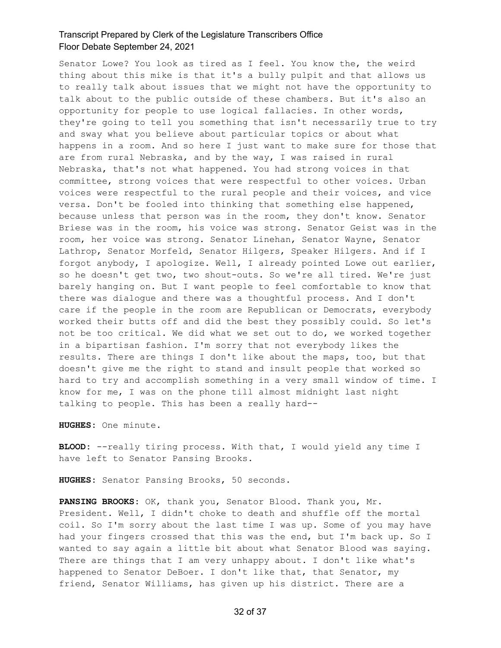Senator Lowe? You look as tired as I feel. You know the, the weird thing about this mike is that it's a bully pulpit and that allows us to really talk about issues that we might not have the opportunity to talk about to the public outside of these chambers. But it's also an opportunity for people to use logical fallacies. In other words, they're going to tell you something that isn't necessarily true to try and sway what you believe about particular topics or about what happens in a room. And so here I just want to make sure for those that are from rural Nebraska, and by the way, I was raised in rural Nebraska, that's not what happened. You had strong voices in that committee, strong voices that were respectful to other voices. Urban voices were respectful to the rural people and their voices, and vice versa. Don't be fooled into thinking that something else happened, because unless that person was in the room, they don't know. Senator Briese was in the room, his voice was strong. Senator Geist was in the room, her voice was strong. Senator Linehan, Senator Wayne, Senator Lathrop, Senator Morfeld, Senator Hilgers, Speaker Hilgers. And if I forgot anybody, I apologize. Well, I already pointed Lowe out earlier, so he doesn't get two, two shout-outs. So we're all tired. We're just barely hanging on. But I want people to feel comfortable to know that there was dialogue and there was a thoughtful process. And I don't care if the people in the room are Republican or Democrats, everybody worked their butts off and did the best they possibly could. So let's not be too critical. We did what we set out to do, we worked together in a bipartisan fashion. I'm sorry that not everybody likes the results. There are things I don't like about the maps, too, but that doesn't give me the right to stand and insult people that worked so hard to try and accomplish something in a very small window of time. I know for me, I was on the phone till almost midnight last night talking to people. This has been a really hard--

**HUGHES:** One minute.

**BLOOD:** --really tiring process. With that, I would yield any time I have left to Senator Pansing Brooks.

**HUGHES:** Senator Pansing Brooks, 50 seconds.

**PANSING BROOKS:** OK, thank you, Senator Blood. Thank you, Mr. President. Well, I didn't choke to death and shuffle off the mortal coil. So I'm sorry about the last time I was up. Some of you may have had your fingers crossed that this was the end, but I'm back up. So I wanted to say again a little bit about what Senator Blood was saying. There are things that I am very unhappy about. I don't like what's happened to Senator DeBoer. I don't like that, that Senator, my friend, Senator Williams, has given up his district. There are a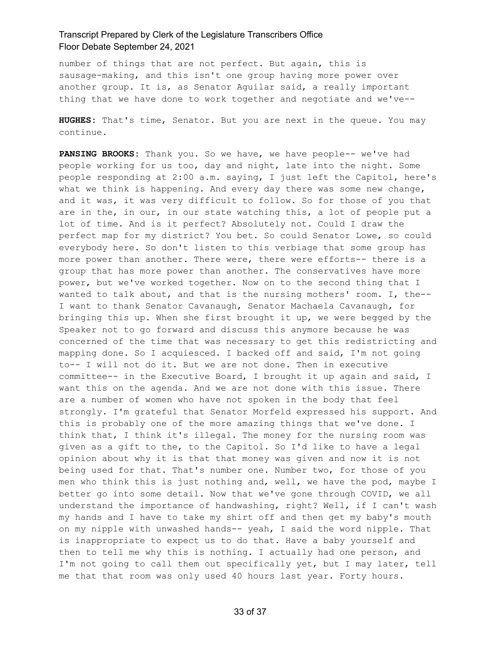number of things that are not perfect. But again, this is sausage-making, and this isn't one group having more power over another group. It is, as Senator Aguilar said, a really important thing that we have done to work together and negotiate and we've--

**HUGHES:** That's time, Senator. But you are next in the queue. You may continue.

**PANSING BROOKS:** Thank you. So we have, we have people-- we've had people working for us too, day and night, late into the night. Some people responding at 2:00 a.m. saying, I just left the Capitol, here's what we think is happening. And every day there was some new change, and it was, it was very difficult to follow. So for those of you that are in the, in our, in our state watching this, a lot of people put a lot of time. And is it perfect? Absolutely not. Could I draw the perfect map for my district? You bet. So could Senator Lowe, so could everybody here. So don't listen to this verbiage that some group has more power than another. There were, there were efforts-- there is a group that has more power than another. The conservatives have more power, but we've worked together. Now on to the second thing that I wanted to talk about, and that is the nursing mothers' room. I, the-- I want to thank Senator Cavanaugh, Senator Machaela Cavanaugh, for bringing this up. When she first brought it up, we were begged by the Speaker not to go forward and discuss this anymore because he was concerned of the time that was necessary to get this redistricting and mapping done. So I acquiesced. I backed off and said, I'm not going to-- I will not do it. But we are not done. Then in executive committee-- in the Executive Board, I brought it up again and said, I want this on the agenda. And we are not done with this issue. There are a number of women who have not spoken in the body that feel strongly. I'm grateful that Senator Morfeld expressed his support. And this is probably one of the more amazing things that we've done. I think that, I think it's illegal. The money for the nursing room was given as a gift to the, to the Capitol. So I'd like to have a legal opinion about why it is that that money was given and now it is not being used for that. That's number one. Number two, for those of you men who think this is just nothing and, well, we have the pod, maybe I better go into some detail. Now that we've gone through COVID, we all understand the importance of handwashing, right? Well, if I can't wash my hands and I have to take my shirt off and then get my baby's mouth on my nipple with unwashed hands-- yeah, I said the word nipple. That is inappropriate to expect us to do that. Have a baby yourself and then to tell me why this is nothing. I actually had one person, and I'm not going to call them out specifically yet, but I may later, tell me that that room was only used 40 hours last year. Forty hours.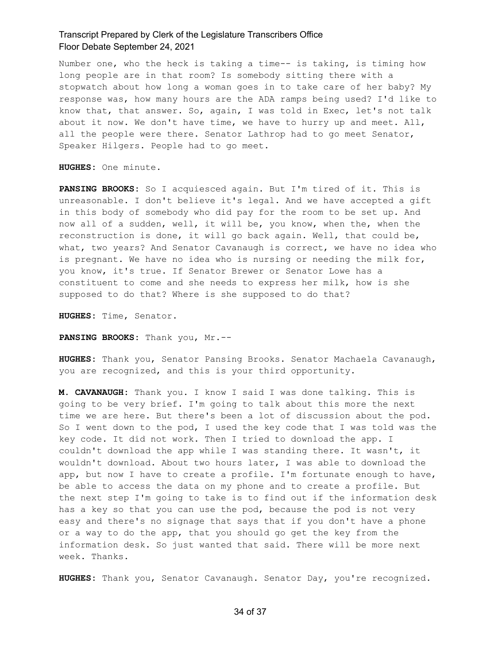Number one, who the heck is taking a time-- is taking, is timing how long people are in that room? Is somebody sitting there with a stopwatch about how long a woman goes in to take care of her baby? My response was, how many hours are the ADA ramps being used? I'd like to know that, that answer. So, again, I was told in Exec, let's not talk about it now. We don't have time, we have to hurry up and meet. All, all the people were there. Senator Lathrop had to go meet Senator, Speaker Hilgers. People had to go meet.

**HUGHES:** One minute.

**PANSING BROOKS:** So I acquiesced again. But I'm tired of it. This is unreasonable. I don't believe it's legal. And we have accepted a gift in this body of somebody who did pay for the room to be set up. And now all of a sudden, well, it will be, you know, when the, when the reconstruction is done, it will go back again. Well, that could be, what, two years? And Senator Cavanaugh is correct, we have no idea who is pregnant. We have no idea who is nursing or needing the milk for, you know, it's true. If Senator Brewer or Senator Lowe has a constituent to come and she needs to express her milk, how is she supposed to do that? Where is she supposed to do that?

**HUGHES:** Time, Senator.

**PANSING BROOKS:** Thank you, Mr.--

**HUGHES:** Thank you, Senator Pansing Brooks. Senator Machaela Cavanaugh, you are recognized, and this is your third opportunity.

**M. CAVANAUGH:** Thank you. I know I said I was done talking. This is going to be very brief. I'm going to talk about this more the next time we are here. But there's been a lot of discussion about the pod. So I went down to the pod, I used the key code that I was told was the key code. It did not work. Then I tried to download the app. I couldn't download the app while I was standing there. It wasn't, it wouldn't download. About two hours later, I was able to download the app, but now I have to create a profile. I'm fortunate enough to have, be able to access the data on my phone and to create a profile. But the next step I'm going to take is to find out if the information desk has a key so that you can use the pod, because the pod is not very easy and there's no signage that says that if you don't have a phone or a way to do the app, that you should go get the key from the information desk. So just wanted that said. There will be more next week. Thanks.

**HUGHES:** Thank you, Senator Cavanaugh. Senator Day, you're recognized.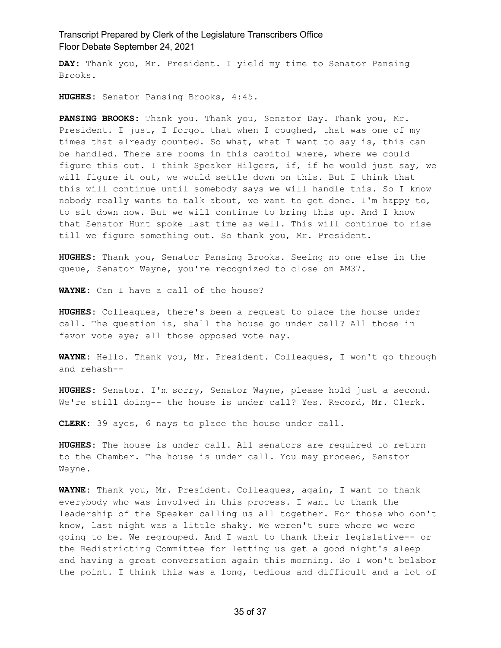**DAY:** Thank you, Mr. President. I yield my time to Senator Pansing Brooks.

**HUGHES:** Senator Pansing Brooks, 4:45.

**PANSING BROOKS:** Thank you. Thank you, Senator Day. Thank you, Mr. President. I just, I forgot that when I coughed, that was one of my times that already counted. So what, what I want to say is, this can be handled. There are rooms in this capitol where, where we could figure this out. I think Speaker Hilgers, if, if he would just say, we will figure it out, we would settle down on this. But I think that this will continue until somebody says we will handle this. So I know nobody really wants to talk about, we want to get done. I'm happy to, to sit down now. But we will continue to bring this up. And I know that Senator Hunt spoke last time as well. This will continue to rise till we figure something out. So thank you, Mr. President.

**HUGHES:** Thank you, Senator Pansing Brooks. Seeing no one else in the queue, Senator Wayne, you're recognized to close on AM37.

**WAYNE:** Can I have a call of the house?

**HUGHES:** Colleagues, there's been a request to place the house under call. The question is, shall the house go under call? All those in favor vote aye; all those opposed vote nay.

**WAYNE:** Hello. Thank you, Mr. President. Colleagues, I won't go through and rehash--

**HUGHES:** Senator. I'm sorry, Senator Wayne, please hold just a second. We're still doing-- the house is under call? Yes. Record, Mr. Clerk.

**CLERK:** 39 ayes, 6 nays to place the house under call.

**HUGHES:** The house is under call. All senators are required to return to the Chamber. The house is under call. You may proceed, Senator Wayne.

**WAYNE:** Thank you, Mr. President. Colleagues, again, I want to thank everybody who was involved in this process. I want to thank the leadership of the Speaker calling us all together. For those who don't know, last night was a little shaky. We weren't sure where we were going to be. We regrouped. And I want to thank their legislative-- or the Redistricting Committee for letting us get a good night's sleep and having a great conversation again this morning. So I won't belabor the point. I think this was a long, tedious and difficult and a lot of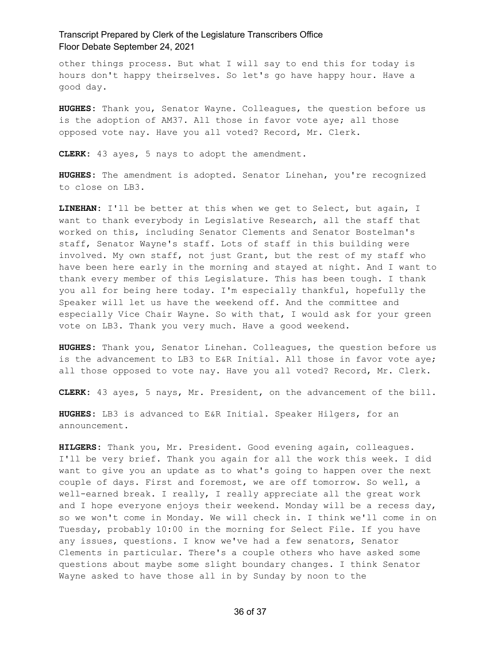other things process. But what I will say to end this for today is hours don't happy theirselves. So let's go have happy hour. Have a good day.

**HUGHES:** Thank you, Senator Wayne. Colleagues, the question before us is the adoption of AM37. All those in favor vote aye; all those opposed vote nay. Have you all voted? Record, Mr. Clerk.

**CLERK:** 43 ayes, 5 nays to adopt the amendment.

**HUGHES:** The amendment is adopted. Senator Linehan, you're recognized to close on LB3.

**LINEHAN:** I'll be better at this when we get to Select, but again, I want to thank everybody in Legislative Research, all the staff that worked on this, including Senator Clements and Senator Bostelman's staff, Senator Wayne's staff. Lots of staff in this building were involved. My own staff, not just Grant, but the rest of my staff who have been here early in the morning and stayed at night. And I want to thank every member of this Legislature. This has been tough. I thank you all for being here today. I'm especially thankful, hopefully the Speaker will let us have the weekend off. And the committee and especially Vice Chair Wayne. So with that, I would ask for your green vote on LB3. Thank you very much. Have a good weekend.

**HUGHES:** Thank you, Senator Linehan. Colleagues, the question before us is the advancement to LB3 to E&R Initial. All those in favor vote aye; all those opposed to vote nay. Have you all voted? Record, Mr. Clerk.

**CLERK:** 43 ayes, 5 nays, Mr. President, on the advancement of the bill.

**HUGHES:** LB3 is advanced to E&R Initial. Speaker Hilgers, for an announcement.

**HILGERS:** Thank you, Mr. President. Good evening again, colleagues. I'll be very brief. Thank you again for all the work this week. I did want to give you an update as to what's going to happen over the next couple of days. First and foremost, we are off tomorrow. So well, a well-earned break. I really, I really appreciate all the great work and I hope everyone enjoys their weekend. Monday will be a recess day, so we won't come in Monday. We will check in. I think we'll come in on Tuesday, probably 10:00 in the morning for Select File. If you have any issues, questions. I know we've had a few senators, Senator Clements in particular. There's a couple others who have asked some questions about maybe some slight boundary changes. I think Senator Wayne asked to have those all in by Sunday by noon to the